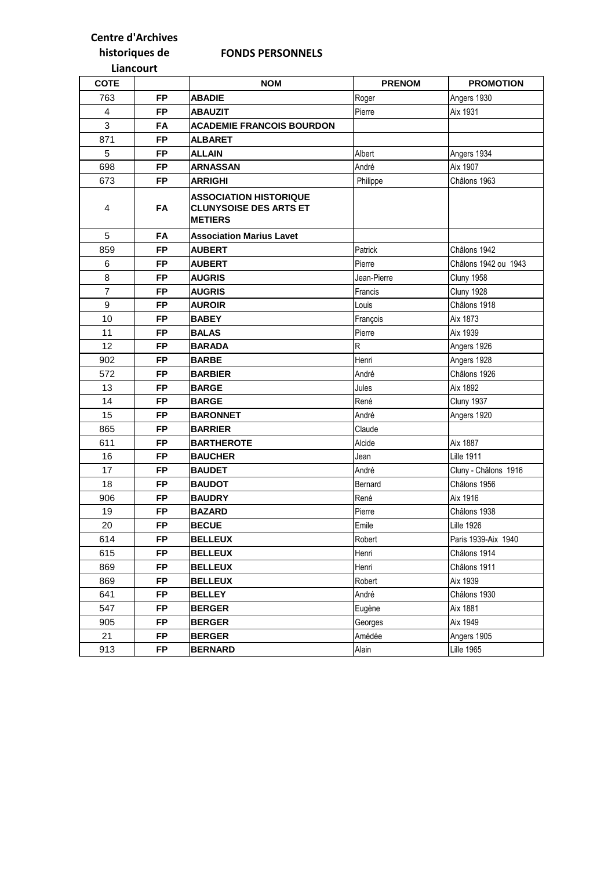## **Centre d'Archives**

## **FONDS PERSONNELS**

## **historiques de Liancourt**

| <b>COTE</b>    |           | <b>NOM</b>                                                                       | <b>PRENOM</b> | <b>PROMOTION</b>     |
|----------------|-----------|----------------------------------------------------------------------------------|---------------|----------------------|
| 763            | <b>FP</b> | <b>ABADIE</b>                                                                    | Roger         | Angers 1930          |
| 4              | <b>FP</b> | <b>ABAUZIT</b>                                                                   | Pierre        | Aix 1931             |
| 3              | <b>FA</b> | <b>ACADEMIE FRANCOIS BOURDON</b>                                                 |               |                      |
| 871            | <b>FP</b> | <b>ALBARET</b>                                                                   |               |                      |
| 5              | <b>FP</b> | <b>ALLAIN</b>                                                                    | Albert        | Angers 1934          |
| 698            | <b>FP</b> | <b>ARNASSAN</b>                                                                  | André         | Aix 1907             |
| 673            | <b>FP</b> | ARRIGHI                                                                          | Philippe      | Châlons 1963         |
| 4              | FA        | <b>ASSOCIATION HISTORIQUE</b><br><b>CLUNYSOISE DES ARTS ET</b><br><b>METIERS</b> |               |                      |
| 5              | FA        | <b>Association Marius Lavet</b>                                                  |               |                      |
| 859            | <b>FP</b> | <b>AUBERT</b>                                                                    | Patrick       | Châlons 1942         |
| $\,6$          | <b>FP</b> | <b>AUBERT</b>                                                                    | Pierre        | Châlons 1942 ou 1943 |
| 8              | <b>FP</b> | <b>AUGRIS</b>                                                                    | Jean-Pierre   | Cluny 1958           |
| $\overline{7}$ | <b>FP</b> | <b>AUGRIS</b>                                                                    | Francis       | Cluny 1928           |
| 9              | <b>FP</b> | <b>AUROIR</b>                                                                    | Louis         | Châlons 1918         |
| 10             | <b>FP</b> | <b>BABEY</b>                                                                     | François      | Aix 1873             |
| 11             | <b>FP</b> | <b>BALAS</b>                                                                     | Pierre        | Aix 1939             |
| 12             | <b>FP</b> | <b>BARADA</b>                                                                    | $\mathsf{R}$  | Angers 1926          |
| 902            | <b>FP</b> | <b>BARBE</b>                                                                     | Henri         | Angers 1928          |
| 572            | <b>FP</b> | <b>BARBIER</b>                                                                   | André         | Châlons 1926         |
| 13             | <b>FP</b> | <b>BARGE</b>                                                                     | Jules         | Aix 1892             |
| 14             | <b>FP</b> | <b>BARGE</b>                                                                     | René          | Cluny 1937           |
| 15             | <b>FP</b> | <b>BARONNET</b>                                                                  | André         | Angers 1920          |
| 865            | <b>FP</b> | <b>BARRIER</b>                                                                   | Claude        |                      |
| 611            | <b>FP</b> | <b>BARTHEROTE</b>                                                                | Alcide        | Aix 1887             |
| 16             | <b>FP</b> | <b>BAUCHER</b>                                                                   | Jean          | <b>Lille 1911</b>    |
| 17             | <b>FP</b> | <b>BAUDET</b>                                                                    | André         | Cluny - Châlons 1916 |
| 18             | <b>FP</b> | <b>BAUDOT</b>                                                                    | Bernard       | Châlons 1956         |
| 906            | <b>FP</b> | <b>BAUDRY</b>                                                                    | René          | Aix 1916             |
| 19             | <b>FP</b> | <b>BAZARD</b>                                                                    | Pierre        | Châlons 1938         |
| 20             | <b>FP</b> | <b>BECUE</b>                                                                     | Emile         | <b>Lille 1926</b>    |
| 614            | FΡ        | <b>BELLEUX</b>                                                                   | Robert        | Paris 1939-Aix 1940  |
| 615            | FP        | <b>BELLEUX</b>                                                                   | Henri         | Châlons 1914         |
| 869            | FP        | <b>BELLEUX</b>                                                                   | Henri         | Châlons 1911         |
| 869            | FP        | <b>BELLEUX</b>                                                                   | Robert        | Aix 1939             |
| 641            | FP        | <b>BELLEY</b>                                                                    | André         | Châlons 1930         |
| 547            | FP        | <b>BERGER</b>                                                                    | Eugène        | Aix 1881             |
| 905            | FP        | <b>BERGER</b>                                                                    | Georges       | Aix 1949             |
| 21             | <b>FP</b> | <b>BERGER</b>                                                                    | Amédée        | Angers 1905          |
| 913            | FP        | <b>BERNARD</b>                                                                   | Alain         | <b>Lille 1965</b>    |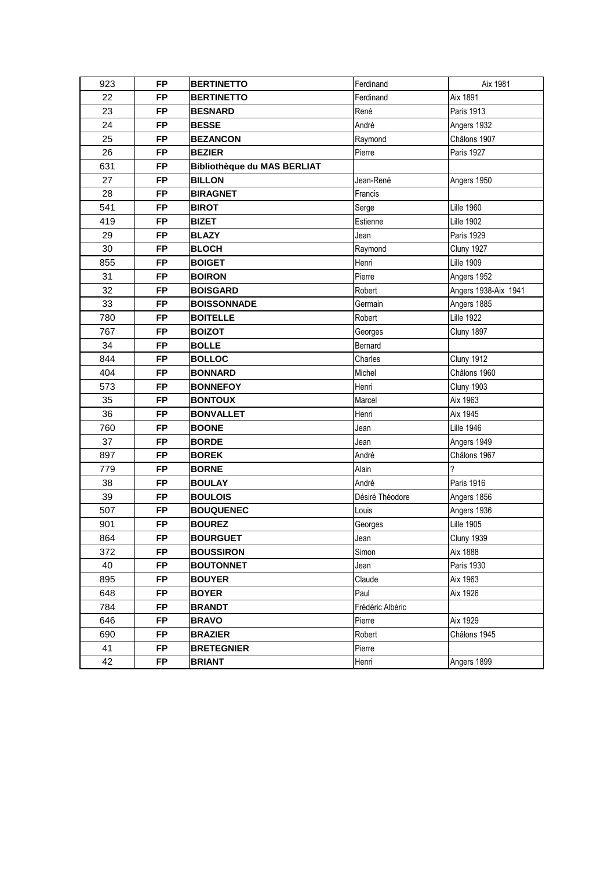| 923 | <b>FP</b> | <b>BERTINETTO</b>                  | Ferdinand        | Aix 1981             |
|-----|-----------|------------------------------------|------------------|----------------------|
| 22  | <b>FP</b> | <b>BERTINETTO</b>                  | Ferdinand        | Aix 1891             |
| 23  | <b>FP</b> | <b>BESNARD</b>                     | René             | <b>Paris 1913</b>    |
| 24  | <b>FP</b> | <b>BESSE</b>                       | André            | Angers 1932          |
| 25  | <b>FP</b> | <b>BEZANCON</b>                    | Raymond          | Châlons 1907         |
| 26  | <b>FP</b> | <b>BEZIER</b>                      | Pierre           | <b>Paris 1927</b>    |
| 631 | <b>FP</b> | <b>Bibliothèque du MAS BERLIAT</b> |                  |                      |
| 27  | <b>FP</b> | <b>BILLON</b>                      | Jean-René        | Angers 1950          |
| 28  | <b>FP</b> | <b>BIRAGNET</b>                    | Francis          |                      |
| 541 | <b>FP</b> | <b>BIROT</b>                       | Serge            | <b>Lille 1960</b>    |
| 419 | <b>FP</b> | <b>BIZET</b>                       | Estienne         | <b>Lille 1902</b>    |
| 29  | <b>FP</b> | <b>BLAZY</b>                       | Jean             | <b>Paris 1929</b>    |
| 30  | <b>FP</b> | <b>BLOCH</b>                       | Raymond          | <b>Cluny 1927</b>    |
| 855 | <b>FP</b> | <b>BOIGET</b>                      | Henri            | <b>Lille 1909</b>    |
| 31  | <b>FP</b> | <b>BOIRON</b>                      | Pierre           | Angers 1952          |
| 32  | <b>FP</b> | <b>BOISGARD</b>                    | Robert           | Angers 1938-Aix 1941 |
| 33  | <b>FP</b> | <b>BOISSONNADE</b>                 | Germain          | Angers 1885          |
| 780 | <b>FP</b> | <b>BOITELLE</b>                    | Robert           | <b>Lille 1922</b>    |
| 767 | <b>FP</b> | <b>BOIZOT</b>                      | Georges          | Cluny 1897           |
| 34  | <b>FP</b> | <b>BOLLE</b>                       | Bernard          |                      |
| 844 | <b>FP</b> | <b>BOLLOC</b>                      | Charles          | <b>Cluny 1912</b>    |
| 404 | <b>FP</b> | <b>BONNARD</b>                     | Michel           | Châlons 1960         |
| 573 | <b>FP</b> | <b>BONNEFOY</b>                    | Henri            | Cluny 1903           |
| 35  | <b>FP</b> | <b>BONTOUX</b>                     | Marcel           | Aix 1963             |
| 36  | <b>FP</b> | <b>BONVALLET</b>                   | Henri            | Aix 1945             |
| 760 | <b>FP</b> | <b>BOONE</b>                       | Jean             | <b>Lille 1946</b>    |
| 37  | <b>FP</b> | <b>BORDE</b>                       | Jean             | Angers 1949          |
| 897 | <b>FP</b> | <b>BOREK</b>                       | André            | Châlons 1967         |
| 779 | <b>FP</b> | <b>BORNE</b>                       | Alain            | ?                    |
| 38  | <b>FP</b> | <b>BOULAY</b>                      | André            | <b>Paris 1916</b>    |
| 39  | <b>FP</b> | <b>BOULOIS</b>                     | Désiré Théodore  | Angers 1856          |
| 507 | <b>FP</b> | <b>BOUQUENEC</b>                   | Louis            | Angers 1936          |
| 901 | <b>FP</b> | <b>BOUREZ</b>                      | Georges          | <b>Lille 1905</b>    |
| 864 | <b>FP</b> | <b>BOURGUET</b>                    | Jean             | <b>Cluny 1939</b>    |
| 372 | <b>FP</b> | <b>BOUSSIRON</b>                   | Simon            | Aix 1888             |
| 40  | <b>FP</b> | <b>BOUTONNET</b>                   | Jean             | <b>Paris 1930</b>    |
| 895 | <b>FP</b> | <b>BOUYER</b>                      | Claude           | Aix 1963             |
| 648 | <b>FP</b> | <b>BOYER</b>                       | Paul             | Aix 1926             |
| 784 | <b>FP</b> | <b>BRANDT</b>                      | Frédéric Albéric |                      |
| 646 | <b>FP</b> | <b>BRAVO</b>                       | Pierre           | Aix 1929             |
| 690 | <b>FP</b> | <b>BRAZIER</b>                     | Robert           | Châlons 1945         |
| 41  | <b>FP</b> | <b>BRETEGNIER</b>                  | Pierre           |                      |
| 42  | <b>FP</b> | <b>BRIANT</b>                      | Henri            | Angers 1899          |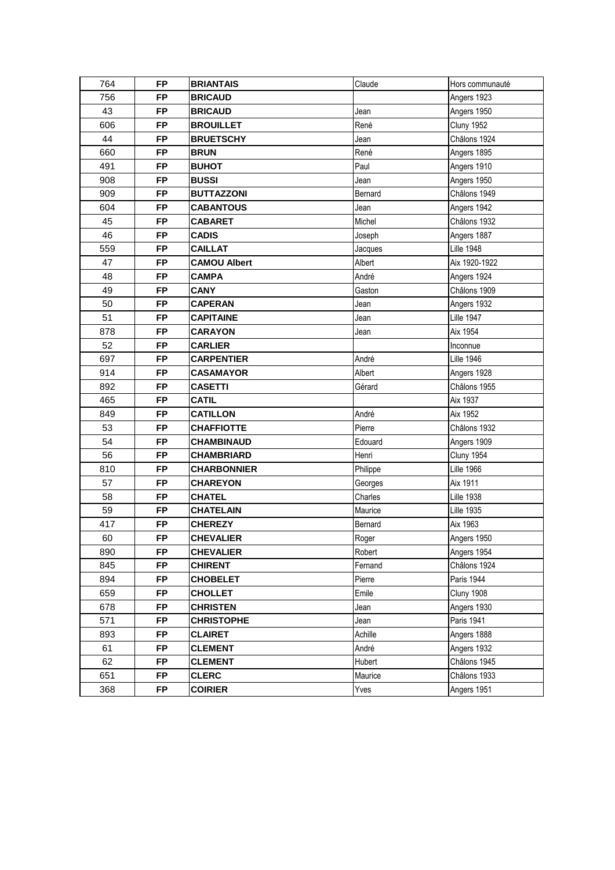| 764 | FP        | <b>BRIANTAIS</b>    | Claude   | Hors communauté   |
|-----|-----------|---------------------|----------|-------------------|
| 756 | <b>FP</b> | <b>BRICAUD</b>      |          | Angers 1923       |
| 43  | <b>FP</b> | <b>BRICAUD</b>      | Jean     | Angers 1950       |
| 606 | <b>FP</b> | <b>BROUILLET</b>    | René     | <b>Cluny 1952</b> |
| 44  | <b>FP</b> | <b>BRUETSCHY</b>    | Jean     | Châlons 1924      |
| 660 | <b>FP</b> | <b>BRUN</b>         | René     | Angers 1895       |
| 491 | <b>FP</b> | <b>BUHOT</b>        | Paul     | Angers 1910       |
| 908 | <b>FP</b> | <b>BUSSI</b>        | Jean     | Angers 1950       |
| 909 | <b>FP</b> | <b>BUTTAZZONI</b>   | Bernard  | Châlons 1949      |
| 604 | <b>FP</b> | <b>CABANTOUS</b>    | Jean     | Angers 1942       |
| 45  | <b>FP</b> | <b>CABARET</b>      | Michel   | Châlons 1932      |
| 46  | <b>FP</b> | <b>CADIS</b>        | Joseph   | Angers 1887       |
| 559 | <b>FP</b> | <b>CAILLAT</b>      | Jacques  | <b>Lille 1948</b> |
| 47  | <b>FP</b> | <b>CAMOU Albert</b> | Albert   | Aix 1920-1922     |
| 48  | <b>FP</b> | <b>CAMPA</b>        | André    | Angers 1924       |
| 49  | <b>FP</b> | <b>CANY</b>         | Gaston   | Châlons 1909      |
| 50  | <b>FP</b> | <b>CAPERAN</b>      | Jean     | Angers 1932       |
| 51  | <b>FP</b> | <b>CAPITAINE</b>    | Jean     | <b>Lille 1947</b> |
| 878 | <b>FP</b> | <b>CARAYON</b>      | Jean     | Aix 1954          |
| 52  | <b>FP</b> | <b>CARLIER</b>      |          | Inconnue          |
| 697 | <b>FP</b> | <b>CARPENTIER</b>   | André    | <b>Lille 1946</b> |
| 914 | <b>FP</b> | <b>CASAMAYOR</b>    | Albert   | Angers 1928       |
| 892 | <b>FP</b> | <b>CASETTI</b>      | Gérard   | Châlons 1955      |
| 465 | <b>FP</b> | <b>CATIL</b>        |          | Aix 1937          |
| 849 | <b>FP</b> | <b>CATILLON</b>     | André    | Aix 1952          |
| 53  | <b>FP</b> | <b>CHAFFIOTTE</b>   | Pierre   | Châlons 1932      |
| 54  | <b>FP</b> | <b>CHAMBINAUD</b>   | Edouard  | Angers 1909       |
| 56  | <b>FP</b> | <b>CHAMBRIARD</b>   | Henri    | <b>Cluny 1954</b> |
| 810 | <b>FP</b> | <b>CHARBONNIER</b>  | Philippe | <b>Lille 1966</b> |
| 57  | <b>FP</b> | <b>CHAREYON</b>     | Georges  | Aix 1911          |
| 58  | <b>FP</b> | <b>CHATEL</b>       | Charles  | <b>Lille 1938</b> |
| 59  | <b>FP</b> | <b>CHATELAIN</b>    | Maurice  | <b>Lille 1935</b> |
| 417 | FP        | <b>CHEREZY</b>      | Bernard  | Aix 1963          |
| 60  | FP        | <b>CHEVALIER</b>    | Roger    | Angers 1950       |
| 890 | <b>FP</b> | <b>CHEVALIER</b>    | Robert   | Angers 1954       |
| 845 | <b>FP</b> | <b>CHIRENT</b>      | Fernand  | Châlons 1924      |
| 894 | <b>FP</b> | <b>CHOBELET</b>     | Pierre   | Paris 1944        |
| 659 | <b>FP</b> | <b>CHOLLET</b>      | Emile    | Cluny 1908        |
| 678 | <b>FP</b> | <b>CHRISTEN</b>     | Jean     | Angers 1930       |
| 571 | <b>FP</b> | <b>CHRISTOPHE</b>   | Jean     | Paris 1941        |
| 893 | <b>FP</b> | <b>CLAIRET</b>      | Achille  | Angers 1888       |
| 61  | <b>FP</b> | <b>CLEMENT</b>      | André    | Angers 1932       |
| 62  | <b>FP</b> | <b>CLEMENT</b>      | Hubert   | Châlons 1945      |
| 651 | <b>FP</b> | <b>CLERC</b>        | Maurice  | Châlons 1933      |
| 368 | <b>FP</b> | <b>COIRIER</b>      | Yves     | Angers 1951       |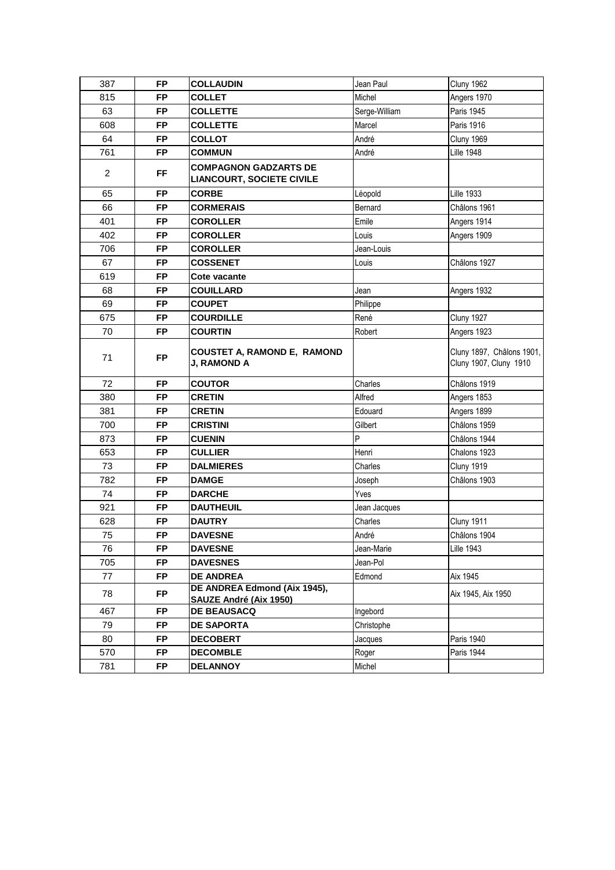| 387            | <b>FP</b> | <b>COLLAUDIN</b>                                                 | Jean Paul     | Cluny 1962                                          |
|----------------|-----------|------------------------------------------------------------------|---------------|-----------------------------------------------------|
| 815            | <b>FP</b> | <b>COLLET</b>                                                    | Michel        | Angers 1970                                         |
| 63             | <b>FP</b> | <b>COLLETTE</b>                                                  | Serge-William | <b>Paris 1945</b>                                   |
| 608            | <b>FP</b> | <b>COLLETTE</b>                                                  | Marcel        | <b>Paris 1916</b>                                   |
| 64             | <b>FP</b> | <b>COLLOT</b>                                                    | André         | <b>Cluny 1969</b>                                   |
| 761            | <b>FP</b> | <b>COMMUN</b>                                                    | André         | <b>Lille 1948</b>                                   |
| $\overline{c}$ | FF.       | <b>COMPAGNON GADZARTS DE</b><br><b>LIANCOURT, SOCIETE CIVILE</b> |               |                                                     |
| 65             | <b>FP</b> | <b>CORBE</b>                                                     | Léopold       | <b>Lille 1933</b>                                   |
| 66             | <b>FP</b> | <b>CORMERAIS</b>                                                 | Bernard       | Châlons 1961                                        |
| 401            | FP        | <b>COROLLER</b>                                                  | Emile         | Angers 1914                                         |
| 402            | <b>FP</b> | <b>COROLLER</b>                                                  | Louis         | Angers 1909                                         |
| 706            | <b>FP</b> | <b>COROLLER</b>                                                  | Jean-Louis    |                                                     |
| 67             | <b>FP</b> | <b>COSSENET</b>                                                  | Louis         | Châlons 1927                                        |
| 619            | <b>FP</b> | <b>Cote vacante</b>                                              |               |                                                     |
| 68             | <b>FP</b> | <b>COUILLARD</b>                                                 | Jean          | Angers 1932                                         |
| 69             | <b>FP</b> | <b>COUPET</b>                                                    | Philippe      |                                                     |
| 675            | <b>FP</b> | <b>COURDILLE</b>                                                 | René          | Cluny 1927                                          |
| 70             | <b>FP</b> | <b>COURTIN</b>                                                   | Robert        | Angers 1923                                         |
| 71             | <b>FP</b> | <b>COUSTET A, RAMOND E, RAMOND</b><br>J, RAMOND A                |               | Cluny 1897, Châlons 1901,<br>Cluny 1907, Cluny 1910 |
| 72             | <b>FP</b> | <b>COUTOR</b>                                                    | Charles       | Châlons 1919                                        |
| 380            | <b>FP</b> | <b>CRETIN</b>                                                    | Alfred        | Angers 1853                                         |
| 381            | <b>FP</b> | <b>CRETIN</b>                                                    | Edouard       | Angers 1899                                         |
| 700            | <b>FP</b> | <b>CRISTINI</b>                                                  | Gilbert       | Châlons 1959                                        |
| 873            | <b>FP</b> | <b>CUENIN</b>                                                    | P             | Châlons 1944                                        |
| 653            | FP        | <b>CULLIER</b>                                                   | Henri         | Chalons 1923                                        |
| 73             | FP        | <b>DALMIERES</b>                                                 | Charles       | <b>Cluny 1919</b>                                   |
| 782            | <b>FP</b> | <b>DAMGE</b>                                                     | Joseph        | Châlons 1903                                        |
| 74             | <b>FP</b> | <b>DARCHE</b>                                                    | Yves          |                                                     |
| 921            | <b>FP</b> | <b>DAUTHEUIL</b>                                                 | Jean Jacques  |                                                     |
| 628            | <b>FP</b> | <b>DAUTRY</b>                                                    | Charles       | Cluny 1911                                          |
| 75             | <b>FP</b> | <b>DAVESNE</b>                                                   | André         | Châlons 1904                                        |
| 76             | <b>FP</b> | <b>DAVESNE</b>                                                   | Jean-Marie    | <b>Lille 1943</b>                                   |
| 705            | <b>FP</b> | <b>DAVESNES</b>                                                  | Jean-Pol      |                                                     |
| 77             | FP.       | <b>DE ANDREA</b>                                                 | Edmond        | Aix 1945                                            |
| 78             | FP.       | DE ANDREA Edmond (Aix 1945),<br>SAUZE André (Aix 1950)           |               | Aix 1945, Aix 1950                                  |
| 467            | <b>FP</b> | DE BEAUSACQ                                                      | Ingebord      |                                                     |
| 79             | <b>FP</b> | <b>DE SAPORTA</b>                                                | Christophe    |                                                     |
| 80             | <b>FP</b> | <b>DECOBERT</b>                                                  | Jacques       | Paris 1940                                          |
| 570            | <b>FP</b> | <b>DECOMBLE</b>                                                  | Roger         | Paris 1944                                          |
| 781            | <b>FP</b> | <b>DELANNOY</b>                                                  | Michel        |                                                     |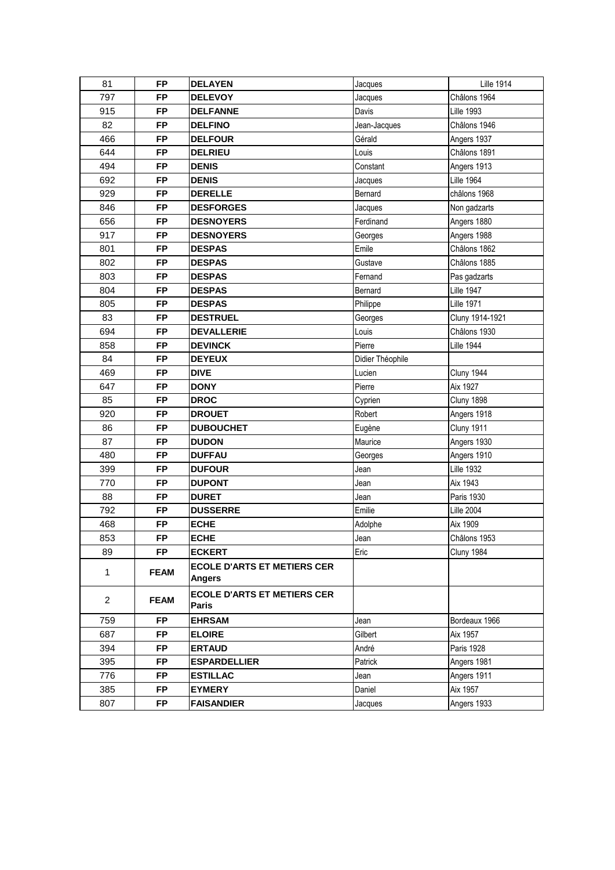| 81             | <b>FP</b>   | <b>DELAYEN</b>                                      | Jacques          | <b>Lille 1914</b> |
|----------------|-------------|-----------------------------------------------------|------------------|-------------------|
| 797            | <b>FP</b>   | <b>DELEVOY</b>                                      | Jacques          | Châlons 1964      |
| 915            | <b>FP</b>   | <b>DELFANNE</b>                                     | Davis            | <b>Lille 1993</b> |
| 82             | <b>FP</b>   | <b>DELFINO</b>                                      | Jean-Jacques     | Châlons 1946      |
| 466            | <b>FP</b>   | <b>DELFOUR</b>                                      | Gérald           | Angers 1937       |
| 644            | <b>FP</b>   | <b>DELRIEU</b>                                      | Louis            | Châlons 1891      |
| 494            | <b>FP</b>   | <b>DENIS</b>                                        | Constant         | Angers 1913       |
| 692            | <b>FP</b>   | <b>DENIS</b>                                        | Jacques          | <b>Lille 1964</b> |
| 929            | <b>FP</b>   | <b>DERELLE</b>                                      | Bernard          | châlons 1968      |
| 846            | <b>FP</b>   | <b>DESFORGES</b>                                    | Jacques          | Non gadzarts      |
| 656            | <b>FP</b>   | <b>DESNOYERS</b>                                    | Ferdinand        | Angers 1880       |
| 917            | <b>FP</b>   | <b>DESNOYERS</b>                                    | Georges          | Angers 1988       |
| 801            | <b>FP</b>   | <b>DESPAS</b>                                       | Emile            | Châlons 1862      |
| 802            | <b>FP</b>   | <b>DESPAS</b>                                       | Gustave          | Châlons 1885      |
| 803            | <b>FP</b>   | <b>DESPAS</b>                                       | Fernand          | Pas gadzarts      |
| 804            | <b>FP</b>   | <b>DESPAS</b>                                       | Bernard          | <b>Lille 1947</b> |
| 805            | <b>FP</b>   | <b>DESPAS</b>                                       | Philippe         | <b>Lille 1971</b> |
| 83             | <b>FP</b>   | <b>DESTRUEL</b>                                     | Georges          | Cluny 1914-1921   |
| 694            | <b>FP</b>   | <b>DEVALLERIE</b>                                   | Louis            | Châlons 1930      |
| 858            | <b>FP</b>   | <b>DEVINCK</b>                                      | Pierre           | <b>Lille 1944</b> |
| 84             | <b>FP</b>   | <b>DEYEUX</b>                                       | Didier Théophile |                   |
| 469            | <b>FP</b>   | <b>DIVE</b>                                         | Lucien           | Cluny 1944        |
| 647            | <b>FP</b>   | <b>DONY</b>                                         | Pierre           | Aix 1927          |
| 85             | <b>FP</b>   | <b>DROC</b>                                         | Cyprien          | Cluny 1898        |
| 920            | <b>FP</b>   | <b>DROUET</b>                                       | Robert           | Angers 1918       |
| 86             | <b>FP</b>   | <b>DUBOUCHET</b>                                    | Eugène           | Cluny 1911        |
| 87             | <b>FP</b>   | <b>DUDON</b>                                        | Maurice          | Angers 1930       |
| 480            | <b>FP</b>   | <b>DUFFAU</b>                                       | Georges          | Angers 1910       |
| 399            | <b>FP</b>   | <b>DUFOUR</b>                                       | Jean             | <b>Lille 1932</b> |
| 770            | <b>FP</b>   | <b>DUPONT</b>                                       | Jean             | Aix 1943          |
| 88             | <b>FP</b>   | <b>DURET</b>                                        | Jean             | Paris 1930        |
| 792            | <b>FP</b>   | <b>DUSSERRE</b>                                     | Emilie           | <b>Lille 2004</b> |
| 468            | <b>FP</b>   | <b>ECHE</b>                                         | Adolphe          | Aix 1909          |
| 853            | FP.         | ECHE                                                | Jean             | Châlons 1953      |
| 89             | <b>FP</b>   | <b>ECKERT</b>                                       | Eric             | Cluny 1984        |
| $\mathbf{1}$   | <b>FEAM</b> | <b>ECOLE D'ARTS ET METIERS CER</b><br><b>Angers</b> |                  |                   |
| $\overline{2}$ | <b>FEAM</b> | <b>ECOLE D'ARTS ET METIERS CER</b><br><b>Paris</b>  |                  |                   |
| 759            | <b>FP</b>   | <b>EHRSAM</b>                                       | Jean             | Bordeaux 1966     |
| 687            | <b>FP</b>   | <b>ELOIRE</b>                                       | Gilbert          | Aix 1957          |
| 394            | <b>FP</b>   | <b>ERTAUD</b>                                       | André            | Paris 1928        |
| 395            | <b>FP</b>   | <b>ESPARDELLIER</b>                                 | Patrick          | Angers 1981       |
| 776            | <b>FP</b>   | <b>ESTILLAC</b>                                     | Jean             | Angers 1911       |
| 385            |             |                                                     |                  |                   |
|                | <b>FP</b>   | <b>EYMERY</b>                                       | Daniel           | Aix 1957          |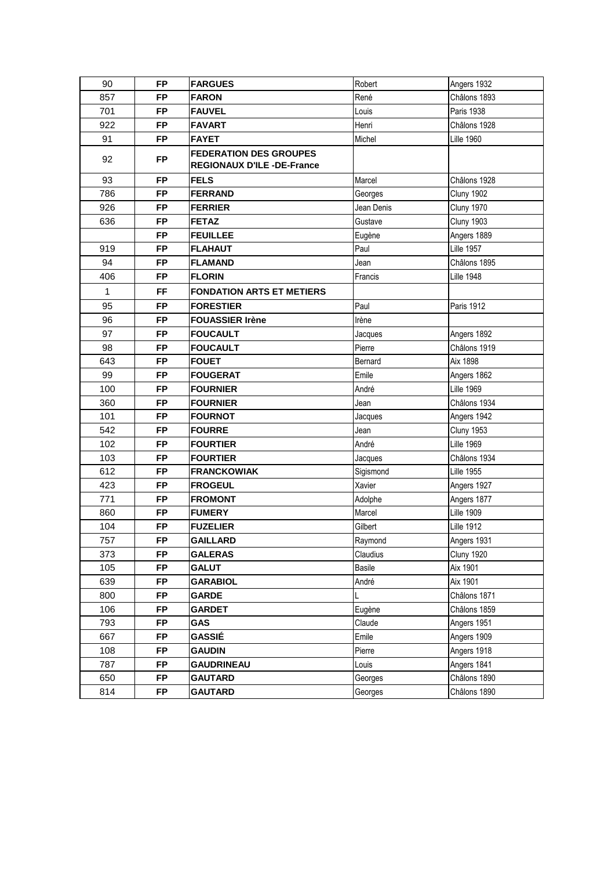| 90           | <b>FP</b> | <b>FARGUES</b>                                                     | Robert        | Angers 1932       |
|--------------|-----------|--------------------------------------------------------------------|---------------|-------------------|
| 857          | <b>FP</b> | <b>FARON</b>                                                       | René          | Châlons 1893      |
| 701          | <b>FP</b> | <b>FAUVEL</b>                                                      | Louis         | Paris 1938        |
| 922          | <b>FP</b> | <b>FAVART</b>                                                      | Henri         | Châlons 1928      |
| 91           | <b>FP</b> | <b>FAYET</b>                                                       | Michel        | <b>Lille 1960</b> |
| 92           | <b>FP</b> | <b>FEDERATION DES GROUPES</b><br><b>REGIONAUX D'ILE -DE-France</b> |               |                   |
| 93           | <b>FP</b> | <b>FELS</b>                                                        | Marcel        | Châlons 1928      |
| 786          | <b>FP</b> | <b>FERRAND</b>                                                     | Georges       | <b>Cluny 1902</b> |
| 926          | <b>FP</b> | <b>FERRIER</b>                                                     | Jean Denis    | <b>Cluny 1970</b> |
| 636          | <b>FP</b> | <b>FETAZ</b>                                                       | Gustave       | Cluny 1903        |
|              | <b>FP</b> | <b>FEUILLEE</b>                                                    | Eugène        | Angers 1889       |
| 919          | <b>FP</b> | <b>FLAHAUT</b>                                                     | Paul          | <b>Lille 1957</b> |
| 94           | <b>FP</b> | <b>FLAMAND</b>                                                     | Jean          | Châlons 1895      |
| 406          | <b>FP</b> | <b>FLORIN</b>                                                      | Francis       | <b>Lille 1948</b> |
| $\mathbf{1}$ | <b>FF</b> | <b>FONDATION ARTS ET METIERS</b>                                   |               |                   |
| 95           | <b>FP</b> | <b>FORESTIER</b>                                                   | Paul          | Paris 1912        |
| 96           | <b>FP</b> | <b>FOUASSIER Irène</b>                                             | Irène         |                   |
| 97           | <b>FP</b> | <b>FOUCAULT</b>                                                    | Jacques       | Angers 1892       |
| 98           | <b>FP</b> | <b>FOUCAULT</b>                                                    | Pierre        | Châlons 1919      |
| 643          | <b>FP</b> | <b>FOUET</b>                                                       | Bernard       | Aix 1898          |
| 99           | <b>FP</b> | <b>FOUGERAT</b>                                                    | Emile         | Angers 1862       |
| 100          | <b>FP</b> | <b>FOURNIER</b>                                                    | André         | <b>Lille 1969</b> |
| 360          | <b>FP</b> | <b>FOURNIER</b>                                                    | Jean          | Châlons 1934      |
| 101          | <b>FP</b> | <b>FOURNOT</b>                                                     | Jacques       | Angers 1942       |
| 542          | <b>FP</b> | <b>FOURRE</b>                                                      | Jean          | <b>Cluny 1953</b> |
| 102          | <b>FP</b> | <b>FOURTIER</b>                                                    | André         | <b>Lille 1969</b> |
| 103          | <b>FP</b> | <b>FOURTIER</b>                                                    | Jacques       | Châlons 1934      |
| 612          | <b>FP</b> | <b>FRANCKOWIAK</b>                                                 | Sigismond     | <b>Lille 1955</b> |
| 423          | <b>FP</b> | <b>FROGEUL</b>                                                     | Xavier        | Angers 1927       |
| 771          | <b>FP</b> | <b>FROMONT</b>                                                     | Adolphe       | Angers 1877       |
| 860          | <b>FP</b> | <b>FUMERY</b>                                                      | Marcel        | <b>Lille 1909</b> |
| 104          | <b>FP</b> | <b>FUZELIER</b>                                                    | Gilbert       | <b>Lille 1912</b> |
| 757          | <b>FP</b> | <b>GAILLARD</b>                                                    | Raymond       | Angers 1931       |
| 373          | <b>FP</b> | <b>GALERAS</b>                                                     | Claudius      | <b>Cluny 1920</b> |
| 105          | <b>FP</b> | <b>GALUT</b>                                                       | <b>Basile</b> | Aix 1901          |
| 639          | <b>FP</b> | <b>GARABIOL</b>                                                    | André         | Aix 1901          |
| 800          | <b>FP</b> | <b>GARDE</b>                                                       |               | Châlons 1871      |
| 106          | FP        | <b>GARDET</b>                                                      | Eugène        | Châlons 1859      |
| 793          | <b>FP</b> | <b>GAS</b>                                                         | Claude        | Angers 1951       |
| 667          | <b>FP</b> | GASSIÉ                                                             | Emile         | Angers 1909       |
| 108          | <b>FP</b> | <b>GAUDIN</b>                                                      | Pierre        | Angers 1918       |
| 787          | <b>FP</b> | <b>GAUDRINEAU</b>                                                  | Louis         | Angers 1841       |
| 650          | <b>FP</b> | <b>GAUTARD</b>                                                     | Georges       | Châlons 1890      |
| 814          | <b>FP</b> | <b>GAUTARD</b>                                                     | Georges       | Châlons 1890      |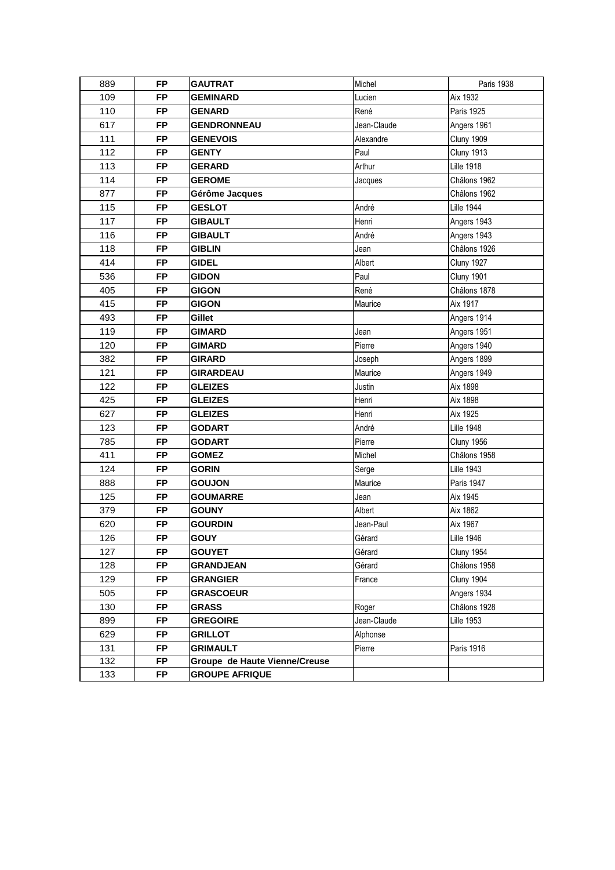| 889 | <b>FP</b> | <b>GAUTRAT</b>                | Michel      | Paris 1938        |
|-----|-----------|-------------------------------|-------------|-------------------|
| 109 | <b>FP</b> | <b>GEMINARD</b>               | Lucien      | Aix 1932          |
| 110 | <b>FP</b> | <b>GENARD</b>                 | René        | Paris 1925        |
| 617 | <b>FP</b> | <b>GENDRONNEAU</b>            | Jean-Claude | Angers 1961       |
| 111 | <b>FP</b> | <b>GENEVOIS</b>               | Alexandre   | Cluny 1909        |
| 112 | <b>FP</b> | <b>GENTY</b>                  | Paul        | <b>Cluny 1913</b> |
| 113 | <b>FP</b> | <b>GERARD</b>                 | Arthur      | <b>Lille 1918</b> |
| 114 | <b>FP</b> | <b>GEROME</b>                 | Jacques     | Châlons 1962      |
| 877 | <b>FP</b> | Gérôme Jacques                |             | Châlons 1962      |
| 115 | <b>FP</b> | <b>GESLOT</b>                 | André       | <b>Lille 1944</b> |
| 117 | <b>FP</b> | <b>GIBAULT</b>                | Henri       | Angers 1943       |
| 116 | <b>FP</b> | <b>GIBAULT</b>                | André       | Angers 1943       |
| 118 | <b>FP</b> | <b>GIBLIN</b>                 | Jean        | Châlons 1926      |
| 414 | <b>FP</b> | <b>GIDEL</b>                  | Albert      | <b>Cluny 1927</b> |
| 536 | <b>FP</b> | <b>GIDON</b>                  | Paul        | Cluny 1901        |
| 405 | <b>FP</b> | <b>GIGON</b>                  | René        | Châlons 1878      |
| 415 | <b>FP</b> | <b>GIGON</b>                  | Maurice     | Aix 1917          |
| 493 | <b>FP</b> | Gillet                        |             | Angers 1914       |
| 119 | <b>FP</b> | <b>GIMARD</b>                 | Jean        | Angers 1951       |
| 120 | <b>FP</b> | <b>GIMARD</b>                 | Pierre      | Angers 1940       |
| 382 | <b>FP</b> | <b>GIRARD</b>                 | Joseph      | Angers 1899       |
| 121 | <b>FP</b> | <b>GIRARDEAU</b>              | Maurice     | Angers 1949       |
| 122 | <b>FP</b> | <b>GLEIZES</b>                | Justin      | Aix 1898          |
| 425 | <b>FP</b> | <b>GLEIZES</b>                | Henri       | Aix 1898          |
| 627 | <b>FP</b> | <b>GLEIZES</b>                | Henri       | Aix 1925          |
| 123 | <b>FP</b> | <b>GODART</b>                 | André       | <b>Lille 1948</b> |
| 785 | <b>FP</b> | <b>GODART</b>                 | Pierre      | Cluny 1956        |
| 411 | <b>FP</b> | <b>GOMEZ</b>                  | Michel      | Châlons 1958      |
| 124 | <b>FP</b> | <b>GORIN</b>                  | Serge       | <b>Lille 1943</b> |
| 888 | <b>FP</b> | <b>GOUJON</b>                 | Maurice     | <b>Paris 1947</b> |
| 125 | <b>FP</b> | <b>GOUMARRE</b>               | Jean        | Aix 1945          |
| 379 | <b>FP</b> | <b>GOUNY</b>                  | Albert      | Aix 1862          |
| 620 | <b>FP</b> | <b>GOURDIN</b>                | Jean-Paul   | Aix 1967          |
| 126 | FP        | GOUY                          | Gérard      | <b>Lille 1946</b> |
| 127 | <b>FP</b> | <b>GOUYET</b>                 | Gérard      | Cluny 1954        |
| 128 | <b>FP</b> | <b>GRANDJEAN</b>              | Gérard      | Châlons 1958      |
| 129 | <b>FP</b> | <b>GRANGIER</b>               | France      | Cluny 1904        |
| 505 | <b>FP</b> | <b>GRASCOEUR</b>              |             | Angers 1934       |
| 130 | <b>FP</b> | GRASS                         | Roger       | Châlons 1928      |
| 899 | <b>FP</b> | <b>GREGOIRE</b>               | Jean-Claude | <b>Lille 1953</b> |
| 629 | <b>FP</b> | <b>GRILLOT</b>                | Alphonse    |                   |
| 131 | <b>FP</b> | <b>GRIMAULT</b>               | Pierre      | Paris 1916        |
| 132 | <b>FP</b> | Groupe de Haute Vienne/Creuse |             |                   |
| 133 | <b>FP</b> | <b>GROUPE AFRIQUE</b>         |             |                   |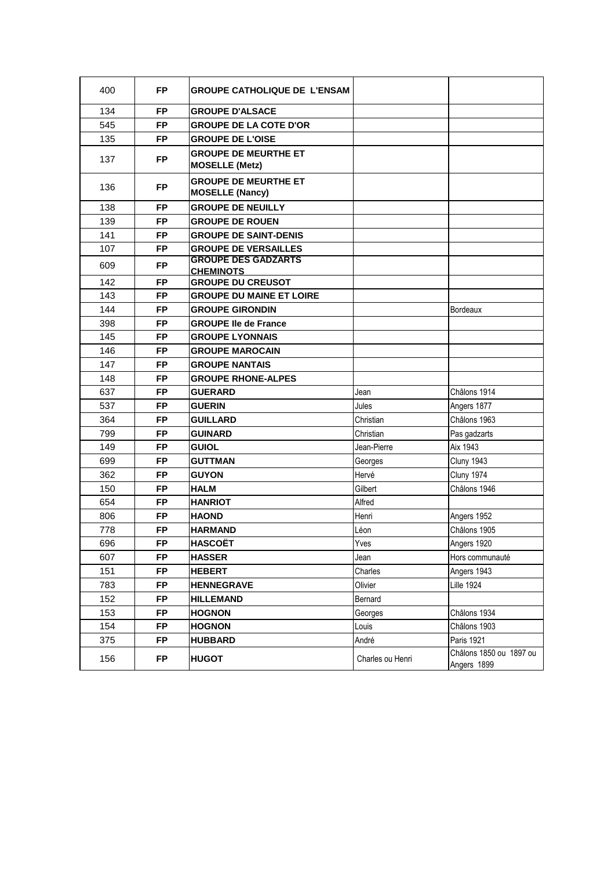| 400 | FP.       | <b>GROUPE CATHOLIQUE DE L'ENSAM</b>                   |                  |                                        |
|-----|-----------|-------------------------------------------------------|------------------|----------------------------------------|
| 134 | <b>FP</b> | <b>GROUPE D'ALSACE</b>                                |                  |                                        |
| 545 | <b>FP</b> | <b>GROUPE DE LA COTE D'OR</b>                         |                  |                                        |
| 135 | <b>FP</b> | <b>GROUPE DE L'OISE</b>                               |                  |                                        |
| 137 | <b>FP</b> | <b>GROUPE DE MEURTHE ET</b><br><b>MOSELLE (Metz)</b>  |                  |                                        |
| 136 | <b>FP</b> | <b>GROUPE DE MEURTHE ET</b><br><b>MOSELLE (Nancy)</b> |                  |                                        |
| 138 | <b>FP</b> | <b>GROUPE DE NEUILLY</b>                              |                  |                                        |
| 139 | <b>FP</b> | <b>GROUPE DE ROUEN</b>                                |                  |                                        |
| 141 | <b>FP</b> | <b>GROUPE DE SAINT-DENIS</b>                          |                  |                                        |
| 107 | <b>FP</b> | <b>GROUPE DE VERSAILLES</b>                           |                  |                                        |
| 609 | <b>FP</b> | <b>GROUPE DES GADZARTS</b>                            |                  |                                        |
| 142 | <b>FP</b> | <b>CHEMINOTS</b><br><b>GROUPE DU CREUSOT</b>          |                  |                                        |
| 143 | <b>FP</b> | <b>GROUPE DU MAINE ET LOIRE</b>                       |                  |                                        |
| 144 | <b>FP</b> | <b>GROUPE GIRONDIN</b>                                |                  | <b>Bordeaux</b>                        |
| 398 | <b>FP</b> | <b>GROUPE Ile de France</b>                           |                  |                                        |
| 145 | <b>FP</b> | <b>GROUPE LYONNAIS</b>                                |                  |                                        |
| 146 | <b>FP</b> | <b>GROUPE MAROCAIN</b>                                |                  |                                        |
| 147 | <b>FP</b> | <b>GROUPE NANTAIS</b>                                 |                  |                                        |
| 148 | <b>FP</b> | <b>GROUPE RHONE-ALPES</b>                             |                  |                                        |
| 637 | <b>FP</b> | <b>GUERARD</b>                                        | Jean             | Châlons 1914                           |
| 537 | <b>FP</b> | <b>GUERIN</b>                                         | Jules            | Angers 1877                            |
| 364 | <b>FP</b> | <b>GUILLARD</b>                                       | Christian        | Châlons 1963                           |
| 799 | <b>FP</b> | <b>GUINARD</b>                                        | Christian        | Pas gadzarts                           |
| 149 | <b>FP</b> | <b>GUIOL</b>                                          | Jean-Pierre      | Aix 1943                               |
| 699 | <b>FP</b> | <b>GUTTMAN</b>                                        | Georges          | Cluny 1943                             |
| 362 | <b>FP</b> | <b>GUYON</b>                                          | Hervé            | Cluny 1974                             |
| 150 | <b>FP</b> | <b>HALM</b>                                           | Gilbert          | Châlons 1946                           |
| 654 | <b>FP</b> | <b>HANRIOT</b>                                        | Alfred           |                                        |
| 806 | <b>FP</b> | <b>HAOND</b>                                          | Henri            | Angers 1952                            |
| 778 | <b>FP</b> | <b>HARMAND</b>                                        | Léon             | Châlons 1905                           |
| 696 | FP        | <b>HASCOËT</b>                                        | Yves             | Angers 1920                            |
| 607 | <b>FP</b> | <b>HASSER</b>                                         | Jean             | Hors communauté                        |
| 151 | <b>FP</b> | <b>HEBERT</b>                                         | Charles          | Angers 1943                            |
| 783 | <b>FP</b> | <b>HENNEGRAVE</b>                                     | Olivier          | <b>Lille 1924</b>                      |
| 152 | <b>FP</b> | <b>HILLEMAND</b>                                      | Bernard          |                                        |
| 153 | <b>FP</b> | <b>HOGNON</b>                                         | Georges          | Châlons 1934                           |
| 154 | <b>FP</b> | <b>HOGNON</b>                                         | Louis            | Châlons 1903                           |
| 375 | <b>FP</b> | <b>HUBBARD</b>                                        | André            | Paris 1921                             |
| 156 | <b>FP</b> | <b>HUGOT</b>                                          | Charles ou Henri | Châlons 1850 ou 1897 ou<br>Angers 1899 |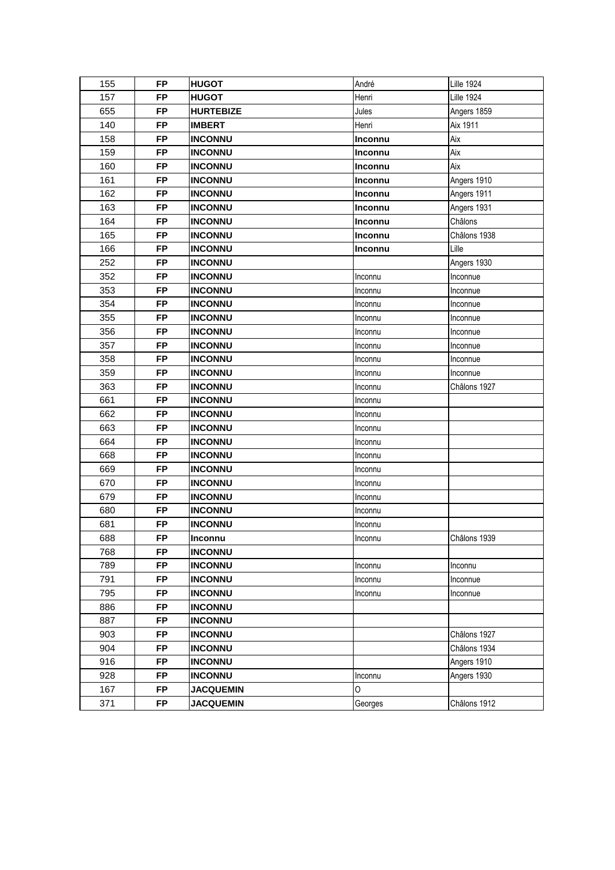| 155 | FP        | <b>HUGOT</b>     | André          | <b>Lille 1924</b> |
|-----|-----------|------------------|----------------|-------------------|
| 157 | <b>FP</b> | <b>HUGOT</b>     | Henri          | <b>Lille 1924</b> |
| 655 | <b>FP</b> | <b>HURTEBIZE</b> | Jules          | Angers 1859       |
| 140 | <b>FP</b> | <b>IMBERT</b>    | Henri          | Aix 1911          |
| 158 | <b>FP</b> | <b>INCONNU</b>   | Inconnu        | Aix               |
| 159 | <b>FP</b> | <b>INCONNU</b>   | Inconnu        | Aix               |
| 160 | <b>FP</b> | <b>INCONNU</b>   | <b>Inconnu</b> | Aix               |
| 161 | <b>FP</b> | <b>INCONNU</b>   | Inconnu        | Angers 1910       |
| 162 | FP        | <b>INCONNU</b>   | <b>Inconnu</b> | Angers 1911       |
| 163 | FP        | <b>INCONNU</b>   | Inconnu        | Angers 1931       |
| 164 | <b>FP</b> | <b>INCONNU</b>   | Inconnu        | Châlons           |
| 165 | <b>FP</b> | <b>INCONNU</b>   | Inconnu        | Châlons 1938      |
| 166 | <b>FP</b> | <b>INCONNU</b>   | Inconnu        | Lille             |
| 252 | <b>FP</b> | <b>INCONNU</b>   |                | Angers 1930       |
| 352 | <b>FP</b> | <b>INCONNU</b>   | Inconnu        | Inconnue          |
| 353 | <b>FP</b> | <b>INCONNU</b>   | Inconnu        | Inconnue          |
| 354 | <b>FP</b> | <b>INCONNU</b>   | Inconnu        | Inconnue          |
| 355 | <b>FP</b> | <b>INCONNU</b>   | Inconnu        | Inconnue          |
| 356 | FP        | <b>INCONNU</b>   | Inconnu        | Inconnue          |
| 357 | <b>FP</b> | <b>INCONNU</b>   | Inconnu        | Inconnue          |
| 358 | <b>FP</b> | <b>INCONNU</b>   | Inconnu        | Inconnue          |
| 359 | <b>FP</b> | <b>INCONNU</b>   | Inconnu        | Inconnue          |
| 363 | <b>FP</b> | <b>INCONNU</b>   | Inconnu        | Châlons 1927      |
| 661 | <b>FP</b> | <b>INCONNU</b>   | Inconnu        |                   |
| 662 | <b>FP</b> | <b>INCONNU</b>   | Inconnu        |                   |
| 663 | <b>FP</b> | <b>INCONNU</b>   | Inconnu        |                   |
| 664 | <b>FP</b> | <b>INCONNU</b>   | Inconnu        |                   |
| 668 | FP        | <b>INCONNU</b>   | Inconnu        |                   |
| 669 | <b>FP</b> | <b>INCONNU</b>   | Inconnu        |                   |
| 670 | <b>FP</b> | <b>INCONNU</b>   | Inconnu        |                   |
| 679 | <b>FP</b> | <b>INCONNU</b>   | Inconnu        |                   |
| 680 | <b>FP</b> | <b>INCONNU</b>   | Inconnu        |                   |
| 681 | <b>FP</b> | <b>INCONNU</b>   | Inconnu        |                   |
| 688 | FP        | Inconnu          | Inconnu        | Châlons 1939      |
| 768 | <b>FP</b> | <b>INCONNU</b>   |                |                   |
| 789 | <b>FP</b> | <b>INCONNU</b>   | Inconnu        | Inconnu           |
| 791 | <b>FP</b> | <b>INCONNU</b>   | Inconnu        | Inconnue          |
| 795 | <b>FP</b> | <b>INCONNU</b>   | Inconnu        | Inconnue          |
| 886 | <b>FP</b> | <b>INCONNU</b>   |                |                   |
| 887 | FP        | <b>INCONNU</b>   |                |                   |
| 903 | <b>FP</b> | <b>INCONNU</b>   |                | Châlons 1927      |
| 904 | <b>FP</b> | <b>INCONNU</b>   |                | Châlons 1934      |
| 916 | <b>FP</b> | <b>INCONNU</b>   |                | Angers 1910       |
| 928 | <b>FP</b> | <b>INCONNU</b>   | Inconnu        | Angers 1930       |
| 167 | <b>FP</b> | <b>JACQUEMIN</b> | 0              |                   |
| 371 | <b>FP</b> | <b>JACQUEMIN</b> | Georges        | Châlons 1912      |
|     |           |                  |                |                   |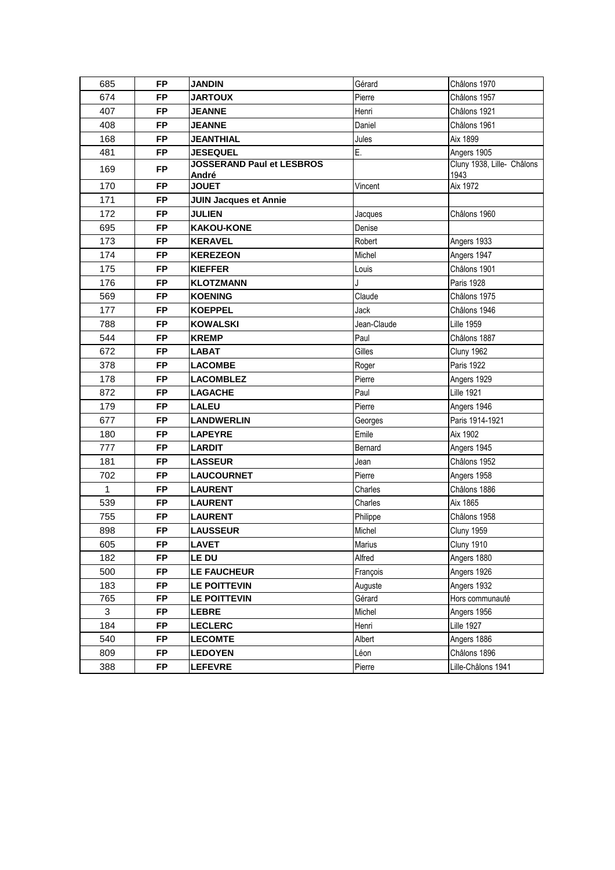| 685          | <b>FP</b> | <b>JANDIN</b>                             | Gérard      | Châlons 1970                       |
|--------------|-----------|-------------------------------------------|-------------|------------------------------------|
| 674          | <b>FP</b> | <b>JARTOUX</b>                            | Pierre      | Châlons 1957                       |
| 407          | <b>FP</b> | <b>JEANNE</b>                             | Henri       | Châlons 1921                       |
| 408          | <b>FP</b> | <b>JEANNE</b>                             | Daniel      | Châlons 1961                       |
| 168          | <b>FP</b> | <b>JEANTHIAL</b>                          | Jules       | Aix 1899                           |
| 481          | <b>FP</b> | <b>JESEQUEL</b>                           | E.          | Angers 1905                        |
| 169          | <b>FP</b> | <b>JOSSERAND Paul et LESBROS</b><br>André |             | Cluny 1938, Lille- Châlons<br>1943 |
| 170          | <b>FP</b> | <b>JOUET</b>                              | Vincent     | Aix 1972                           |
| 171          | <b>FP</b> | <b>JUIN Jacques et Annie</b>              |             |                                    |
| 172          | <b>FP</b> | <b>JULIEN</b>                             | Jacques     | Châlons 1960                       |
| 695          | <b>FP</b> | <b>KAKOU-KONE</b>                         | Denise      |                                    |
| 173          | <b>FP</b> | <b>KERAVEL</b>                            | Robert      | Angers 1933                        |
| 174          | <b>FP</b> | <b>KEREZEON</b>                           | Michel      | Angers 1947                        |
| 175          | <b>FP</b> | <b>KIEFFER</b>                            | Louis       | Châlons 1901                       |
| 176          | <b>FP</b> | <b>KLOTZMANN</b>                          | J           | <b>Paris 1928</b>                  |
| 569          | <b>FP</b> | <b>KOENING</b>                            | Claude      | Châlons 1975                       |
| 177          | <b>FP</b> | <b>KOEPPEL</b>                            | Jack        | Châlons 1946                       |
| 788          | <b>FP</b> | <b>KOWALSKI</b>                           | Jean-Claude | <b>Lille 1959</b>                  |
| 544          | <b>FP</b> | <b>KREMP</b>                              | Paul        | Châlons 1887                       |
| 672          | <b>FP</b> | <b>LABAT</b>                              | Gilles      | <b>Cluny 1962</b>                  |
| 378          | <b>FP</b> | <b>LACOMBE</b>                            | Roger       | Paris 1922                         |
| 178          | <b>FP</b> | <b>LACOMBLEZ</b>                          | Pierre      | Angers 1929                        |
| 872          | <b>FP</b> | <b>LAGACHE</b>                            | Paul        | <b>Lille 1921</b>                  |
| 179          | <b>FP</b> | <b>LALEU</b>                              | Pierre      | Angers 1946                        |
| 677          | <b>FP</b> | <b>LANDWERLIN</b>                         | Georges     | Paris 1914-1921                    |
| 180          | <b>FP</b> | <b>LAPEYRE</b>                            | Emile       | Aix 1902                           |
| 777          | <b>FP</b> | <b>LARDIT</b>                             | Bernard     | Angers 1945                        |
| 181          | <b>FP</b> | <b>LASSEUR</b>                            | Jean        | Châlons 1952                       |
| 702          | <b>FP</b> | <b>LAUCOURNET</b>                         | Pierre      | Angers 1958                        |
| $\mathbf{1}$ | <b>FP</b> | <b>LAURENT</b>                            | Charles     | Châlons 1886                       |
| 539          | <b>FP</b> | <b>LAURENT</b>                            | Charles     | Aix 1865                           |
| 755          | <b>FP</b> | <b>LAURENT</b>                            | Philippe    | Châlons 1958                       |
| 898          | <b>FP</b> | <b>LAUSSEUR</b>                           | Michel      | <b>Cluny 1959</b>                  |
| 605          | <b>FP</b> | LAVET                                     | Marius      | <b>Cluny 1910</b>                  |
| 182          | <b>FP</b> | <b>LE DU</b>                              | Alfred      | Angers 1880                        |
| 500          | <b>FP</b> | LE FAUCHEUR                               | François    | Angers 1926                        |
| 183          | <b>FP</b> | <b>LE POITTEVIN</b>                       | Auguste     | Angers 1932                        |
| 765          | <b>FP</b> | LE POITTEVIN                              | Gérard      | Hors communauté                    |
| 3            | <b>FP</b> | <b>LEBRE</b>                              | Michel      | Angers 1956                        |
| 184          | <b>FP</b> | <b>LECLERC</b>                            | Henri       | <b>Lille 1927</b>                  |
| 540          | <b>FP</b> | <b>LECOMTE</b>                            | Albert      | Angers 1886                        |
| 809          | <b>FP</b> | <b>LEDOYEN</b>                            | Léon        | Châlons 1896                       |
| 388          | <b>FP</b> | <b>LEFEVRE</b>                            | Pierre      | Lille-Châlons 1941                 |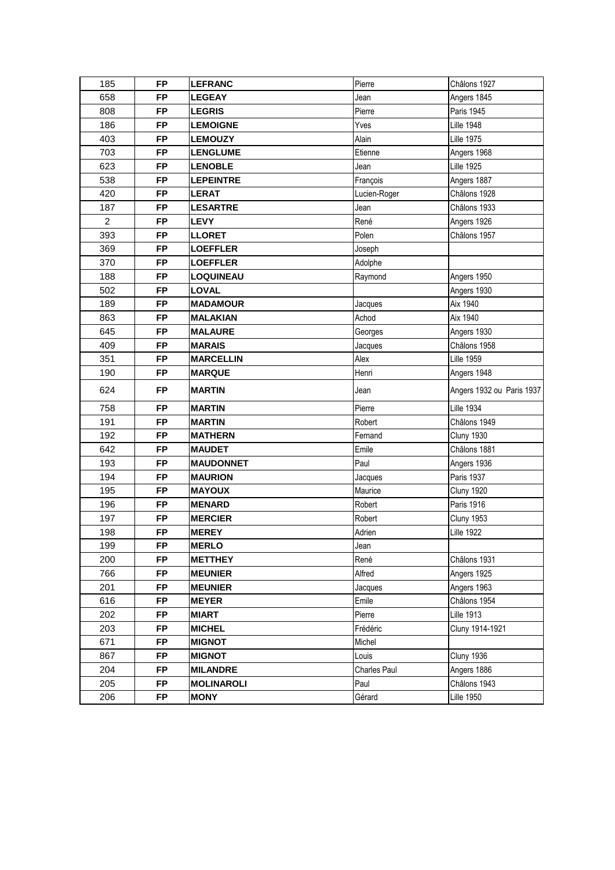| 185            | <b>FP</b> | <b>LEFRANC</b>    | Pierre       | Châlons 1927              |
|----------------|-----------|-------------------|--------------|---------------------------|
| 658            | <b>FP</b> | <b>LEGEAY</b>     | Jean         | Angers 1845               |
| 808            | <b>FP</b> | <b>LEGRIS</b>     | Pierre       | Paris 1945                |
| 186            | <b>FP</b> | <b>LEMOIGNE</b>   | Yves         | <b>Lille 1948</b>         |
| 403            | <b>FP</b> | <b>LEMOUZY</b>    | Alain        | <b>Lille 1975</b>         |
| 703            | <b>FP</b> | <b>LENGLUME</b>   | Etienne      | Angers 1968               |
| 623            | <b>FP</b> | <b>LENOBLE</b>    | Jean         | <b>Lille 1925</b>         |
| 538            | <b>FP</b> | <b>LEPEINTRE</b>  | François     | Angers 1887               |
| 420            | <b>FP</b> | <b>LERAT</b>      | Lucien-Roger | Châlons 1928              |
| 187            | <b>FP</b> | <b>LESARTRE</b>   | Jean         | Châlons 1933              |
| $\overline{2}$ | <b>FP</b> | <b>LEVY</b>       | René         | Angers 1926               |
| 393            | <b>FP</b> | <b>LLORET</b>     | Polen        | Châlons 1957              |
| 369            | <b>FP</b> | <b>LOEFFLER</b>   | Joseph       |                           |
| 370            | <b>FP</b> | <b>LOEFFLER</b>   | Adolphe      |                           |
| 188            | <b>FP</b> | <b>LOQUINEAU</b>  | Raymond      | Angers 1950               |
| 502            | <b>FP</b> | <b>LOVAL</b>      |              | Angers 1930               |
| 189            | <b>FP</b> | <b>MADAMOUR</b>   | Jacques      | Aix 1940                  |
| 863            | <b>FP</b> | <b>MALAKIAN</b>   | Achod        | Aix 1940                  |
| 645            | <b>FP</b> | <b>MALAURE</b>    | Georges      | Angers 1930               |
| 409            | <b>FP</b> | <b>MARAIS</b>     | Jacques      | Châlons 1958              |
| 351            | <b>FP</b> | <b>MARCELLIN</b>  | Alex         | <b>Lille 1959</b>         |
| 190            | <b>FP</b> | <b>MARQUE</b>     | Henri        | Angers 1948               |
| 624            | <b>FP</b> | <b>MARTIN</b>     | Jean         | Angers 1932 ou Paris 1937 |
| 758            | <b>FP</b> | <b>MARTIN</b>     | Pierre       | <b>Lille 1934</b>         |
| 191            | <b>FP</b> | <b>MARTIN</b>     | Robert       | Châlons 1949              |
| 192            | <b>FP</b> | <b>MATHERN</b>    | Fernand      | <b>Cluny 1930</b>         |
| 642            | <b>FP</b> | <b>MAUDET</b>     | Emile        | Châlons 1881              |
| 193            | <b>FP</b> | <b>MAUDONNET</b>  | Paul         | Angers 1936               |
| 194            | <b>FP</b> | <b>MAURION</b>    | Jacques      | <b>Paris 1937</b>         |
| 195            | <b>FP</b> | <b>MAYOUX</b>     | Maurice      | <b>Cluny 1920</b>         |
| 196            | <b>FP</b> | <b>MENARD</b>     | Robert       | Paris 1916                |
| 197            | <b>FP</b> | <b>MERCIER</b>    | Robert       | <b>Cluny 1953</b>         |
| 198            | <b>FP</b> | <b>MEREY</b>      | Adrien       | <b>Lille 1922</b>         |
| 199            | <b>FP</b> | <b>MERLO</b>      | Jean         |                           |
| 200            | <b>FP</b> | <b>METTHEY</b>    | René         | Châlons 1931              |
| 766            | <b>FP</b> | <b>MEUNIER</b>    | Alfred       | Angers 1925               |
| 201            | <b>FP</b> | <b>MEUNIER</b>    | Jacques      | Angers 1963               |
| 616            | <b>FP</b> | <b>MEYER</b>      | Emile        | Châlons 1954              |
| 202            | <b>FP</b> | <b>MIART</b>      | Pierre       | <b>Lille 1913</b>         |
| 203            | <b>FP</b> | <b>MICHEL</b>     | Frédéric     | Cluny 1914-1921           |
| 671            | <b>FP</b> | <b>MIGNOT</b>     | Michel       |                           |
| 867            | <b>FP</b> | <b>MIGNOT</b>     | Louis        | Cluny 1936                |
| 204            | <b>FP</b> | <b>MILANDRE</b>   | Charles Paul | Angers 1886               |
| 205            | <b>FP</b> | <b>MOLINAROLI</b> | Paul         | Châlons 1943              |
| 206            | <b>FP</b> | <b>MONY</b>       | Gérard       | <b>Lille 1950</b>         |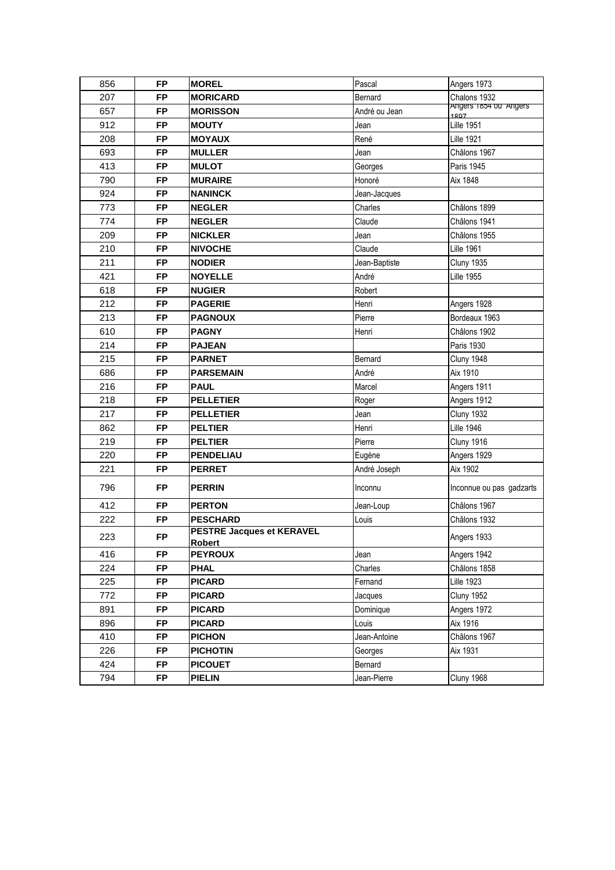| 856 | FP        | <b>MOREL</b>                                      | Pascal        | Angers 1973                   |
|-----|-----------|---------------------------------------------------|---------------|-------------------------------|
| 207 | <b>FP</b> | <b>MORICARD</b>                                   | Bernard       | Chalons 1932                  |
| 657 | <b>FP</b> | <b>MORISSON</b>                                   | André ou Jean | Angers 1854 ou Angers<br>1807 |
| 912 | <b>FP</b> | <b>MOUTY</b>                                      | Jean          | <b>Lille 1951</b>             |
| 208 | <b>FP</b> | <b>MOYAUX</b>                                     | René          | <b>Lille 1921</b>             |
| 693 | <b>FP</b> | <b>MULLER</b>                                     | Jean          | Châlons 1967                  |
| 413 | <b>FP</b> | <b>MULOT</b>                                      | Georges       | <b>Paris 1945</b>             |
| 790 | <b>FP</b> | <b>MURAIRE</b>                                    | Honoré        | Aix 1848                      |
| 924 | <b>FP</b> | <b>NANINCK</b>                                    | Jean-Jacques  |                               |
| 773 | <b>FP</b> | <b>NEGLER</b>                                     | Charles       | Châlons 1899                  |
| 774 | <b>FP</b> | <b>NEGLER</b>                                     | Claude        | Châlons 1941                  |
| 209 | <b>FP</b> | <b>NICKLER</b>                                    | Jean          | Châlons 1955                  |
| 210 | <b>FP</b> | <b>NIVOCHE</b>                                    | Claude        | <b>Lille 1961</b>             |
| 211 | <b>FP</b> | <b>NODIER</b>                                     | Jean-Baptiste | <b>Cluny 1935</b>             |
| 421 | <b>FP</b> | <b>NOYELLE</b>                                    | André         | <b>Lille 1955</b>             |
| 618 | <b>FP</b> | <b>NUGIER</b>                                     | Robert        |                               |
| 212 | <b>FP</b> | <b>PAGERIE</b>                                    | Henri         | Angers 1928                   |
| 213 | <b>FP</b> | <b>PAGNOUX</b>                                    | Pierre        | Bordeaux 1963                 |
| 610 | <b>FP</b> | <b>PAGNY</b>                                      | Henri         | Châlons 1902                  |
| 214 | <b>FP</b> | <b>PAJEAN</b>                                     |               | Paris 1930                    |
| 215 | <b>FP</b> | <b>PARNET</b>                                     | Bernard       | Cluny 1948                    |
| 686 | <b>FP</b> | <b>PARSEMAIN</b>                                  | André         | Aix 1910                      |
| 216 | <b>FP</b> | <b>PAUL</b>                                       | Marcel        | Angers 1911                   |
| 218 | <b>FP</b> | <b>PELLETIER</b>                                  | Roger         | Angers 1912                   |
| 217 | <b>FP</b> | <b>PELLETIER</b>                                  | Jean          | Cluny 1932                    |
| 862 | <b>FP</b> | <b>PELTIER</b>                                    | Henri         | <b>Lille 1946</b>             |
| 219 | <b>FP</b> | <b>PELTIER</b>                                    | Pierre        | Cluny 1916                    |
| 220 | <b>FP</b> | <b>PENDELIAU</b>                                  | Eugène        | Angers 1929                   |
| 221 | <b>FP</b> | <b>PERRET</b>                                     | André Joseph  | Aix 1902                      |
| 796 | <b>FP</b> | <b>PERRIN</b>                                     | Inconnu       | Inconnue ou pas gadzarts      |
| 412 | <b>FP</b> | <b>PERTON</b>                                     | Jean-Loup     | Châlons 1967                  |
| 222 | <b>FP</b> | <b>PESCHARD</b>                                   | Louis         | Châlons 1932                  |
| 223 | FP        | <b>PESTRE Jacques et KERAVEL</b><br><b>Robert</b> |               | Angers 1933                   |
| 416 | FP        | <b>PEYROUX</b>                                    | Jean          | Angers 1942                   |
| 224 | <b>FP</b> | <b>PHAL</b>                                       | Charles       | Châlons 1858                  |
| 225 | <b>FP</b> | <b>PICARD</b>                                     | Fernand       | <b>Lille 1923</b>             |
| 772 | <b>FP</b> | <b>PICARD</b>                                     | Jacques       | <b>Cluny 1952</b>             |
| 891 | <b>FP</b> | <b>PICARD</b>                                     | Dominique     | Angers 1972                   |
| 896 | FP        | <b>PICARD</b>                                     | Louis         | Aix 1916                      |
| 410 | <b>FP</b> | <b>PICHON</b>                                     | Jean-Antoine  | Châlons 1967                  |
| 226 | FP        | <b>PICHOTIN</b>                                   | Georges       | Aix 1931                      |
| 424 | <b>FP</b> | <b>PICOUET</b>                                    | Bernard       |                               |
| 794 | <b>FP</b> | <b>PIELIN</b>                                     | Jean-Pierre   | Cluny 1968                    |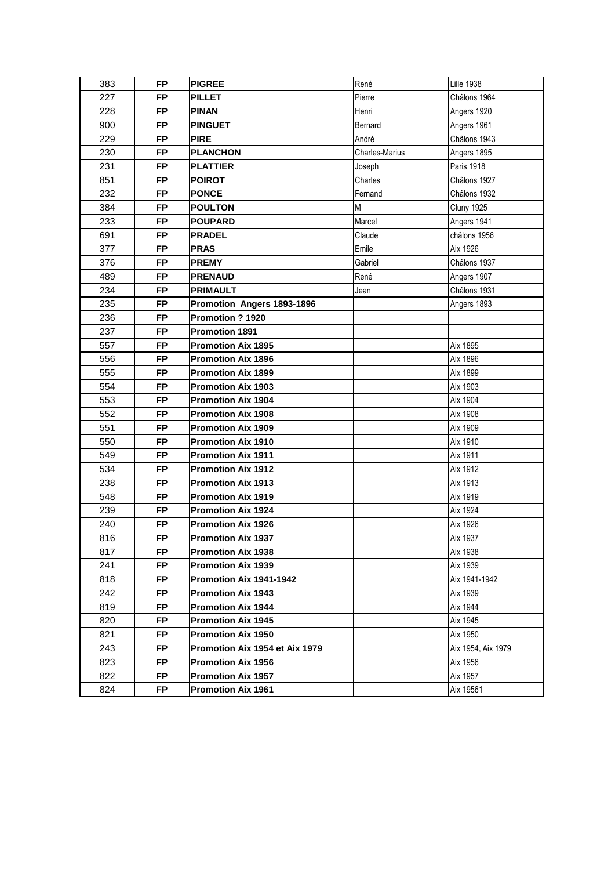| 383 | <b>FP</b> | <b>PIGREE</b>                  | René           | <b>Lille 1938</b>  |
|-----|-----------|--------------------------------|----------------|--------------------|
| 227 | <b>FP</b> | <b>PILLET</b>                  | Pierre         | Châlons 1964       |
| 228 | <b>FP</b> | <b>PINAN</b>                   | Henri          | Angers 1920        |
| 900 | <b>FP</b> | <b>PINGUET</b>                 | Bernard        | Angers 1961        |
| 229 | <b>FP</b> | <b>PIRE</b>                    | André          | Châlons 1943       |
| 230 | <b>FP</b> | <b>PLANCHON</b>                | Charles-Marius | Angers 1895        |
| 231 | <b>FP</b> | <b>PLATTIER</b>                | Joseph         | <b>Paris 1918</b>  |
| 851 | <b>FP</b> | <b>POIROT</b>                  | Charles        | Châlons 1927       |
| 232 | <b>FP</b> | <b>PONCE</b>                   | Fernand        | Châlons 1932       |
| 384 | <b>FP</b> | <b>POULTON</b>                 | M              | <b>Cluny 1925</b>  |
| 233 | <b>FP</b> | <b>POUPARD</b>                 | Marcel         | Angers 1941        |
| 691 | <b>FP</b> | <b>PRADEL</b>                  | Claude         | châlons 1956       |
| 377 | <b>FP</b> | <b>PRAS</b>                    | Emile          | Aix 1926           |
| 376 | <b>FP</b> | <b>PREMY</b>                   | Gabriel        | Châlons 1937       |
| 489 | <b>FP</b> | <b>PRENAUD</b>                 | René           | Angers 1907        |
| 234 | <b>FP</b> | <b>PRIMAULT</b>                | Jean           | Châlons 1931       |
| 235 | <b>FP</b> | Promotion Angers 1893-1896     |                | Angers 1893        |
| 236 | <b>FP</b> | Promotion ? 1920               |                |                    |
| 237 | <b>FP</b> | <b>Promotion 1891</b>          |                |                    |
| 557 | <b>FP</b> | <b>Promotion Aix 1895</b>      |                | Aix 1895           |
| 556 | <b>FP</b> | <b>Promotion Aix 1896</b>      |                | Aix 1896           |
| 555 | <b>FP</b> | <b>Promotion Aix 1899</b>      |                | Aix 1899           |
| 554 | <b>FP</b> | <b>Promotion Aix 1903</b>      |                | Aix 1903           |
| 553 | <b>FP</b> | <b>Promotion Aix 1904</b>      |                | Aix 1904           |
| 552 | <b>FP</b> | <b>Promotion Aix 1908</b>      |                | Aix 1908           |
| 551 | <b>FP</b> | <b>Promotion Aix 1909</b>      |                | Aix 1909           |
| 550 | <b>FP</b> | <b>Promotion Aix 1910</b>      |                | Aix 1910           |
| 549 | <b>FP</b> | <b>Promotion Aix 1911</b>      |                | Aix 1911           |
| 534 | <b>FP</b> | <b>Promotion Aix 1912</b>      |                | Aix 1912           |
| 238 | <b>FP</b> | <b>Promotion Aix 1913</b>      |                | Aix 1913           |
| 548 | <b>FP</b> | <b>Promotion Aix 1919</b>      |                | Aix 1919           |
| 239 | <b>FP</b> | <b>Promotion Aix 1924</b>      |                | Aix 1924           |
| 240 | <b>FP</b> | <b>Promotion Aix 1926</b>      |                | Aix 1926           |
| 816 | FP        | <b>Promotion Aix 1937</b>      |                | Aix 1937           |
| 817 | FP.       | <b>Promotion Aix 1938</b>      |                | Aix 1938           |
| 241 | FP.       | <b>Promotion Aix 1939</b>      |                | Aix 1939           |
| 818 | <b>FP</b> | Promotion Aix 1941-1942        |                | Aix 1941-1942      |
| 242 | <b>FP</b> | <b>Promotion Aix 1943</b>      |                | Aix 1939           |
| 819 | <b>FP</b> | <b>Promotion Aix 1944</b>      |                | Aix 1944           |
| 820 | <b>FP</b> | <b>Promotion Aix 1945</b>      |                | Aix 1945           |
| 821 | <b>FP</b> | <b>Promotion Aix 1950</b>      |                | Aix 1950           |
| 243 | FP.       | Promotion Aix 1954 et Aix 1979 |                | Aix 1954, Aix 1979 |
| 823 | FP.       | <b>Promotion Aix 1956</b>      |                | Aix 1956           |
| 822 | <b>FP</b> | <b>Promotion Aix 1957</b>      |                | Aix 1957           |
| 824 | FP.       | <b>Promotion Aix 1961</b>      |                | Aix 19561          |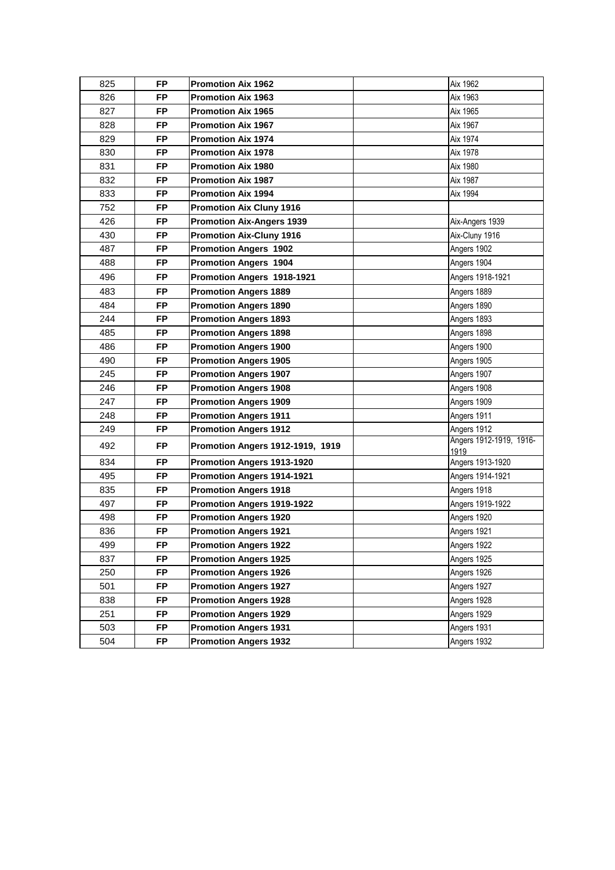| 825 | <b>FP</b> | <b>Promotion Aix 1962</b>               | Aix 1962                        |
|-----|-----------|-----------------------------------------|---------------------------------|
| 826 | <b>FP</b> | <b>Promotion Aix 1963</b>               | Aix 1963                        |
| 827 | <b>FP</b> | <b>Promotion Aix 1965</b>               | Aix 1965                        |
| 828 | <b>FP</b> | <b>Promotion Aix 1967</b>               | Aix 1967                        |
| 829 | <b>FP</b> | <b>Promotion Aix 1974</b>               | Aix 1974                        |
| 830 | <b>FP</b> | <b>Promotion Aix 1978</b>               | Aix 1978                        |
| 831 | <b>FP</b> | <b>Promotion Aix 1980</b>               | Aix 1980                        |
| 832 | <b>FP</b> | <b>Promotion Aix 1987</b>               | Aix 1987                        |
| 833 | <b>FP</b> | <b>Promotion Aix 1994</b>               | Aix 1994                        |
| 752 | <b>FP</b> | <b>Promotion Aix Cluny 1916</b>         |                                 |
| 426 | <b>FP</b> | <b>Promotion Aix-Angers 1939</b>        | Aix-Angers 1939                 |
| 430 | <b>FP</b> | <b>Promotion Aix-Cluny 1916</b>         | Aix-Cluny 1916                  |
| 487 | <b>FP</b> | <b>Promotion Angers 1902</b>            | Angers 1902                     |
| 488 | <b>FP</b> | <b>Promotion Angers 1904</b>            | Angers 1904                     |
| 496 | <b>FP</b> | Promotion Angers 1918-1921              | Angers 1918-1921                |
| 483 | <b>FP</b> | <b>Promotion Angers 1889</b>            | Angers 1889                     |
| 484 | <b>FP</b> | <b>Promotion Angers 1890</b>            | Angers 1890                     |
| 244 | <b>FP</b> | <b>Promotion Angers 1893</b>            | Angers 1893                     |
| 485 | <b>FP</b> | <b>Promotion Angers 1898</b>            | Angers 1898                     |
| 486 | <b>FP</b> | <b>Promotion Angers 1900</b>            | Angers 1900                     |
| 490 | <b>FP</b> | <b>Promotion Angers 1905</b>            | Angers 1905                     |
| 245 | <b>FP</b> | <b>Promotion Angers 1907</b>            | Angers 1907                     |
| 246 | <b>FP</b> | <b>Promotion Angers 1908</b>            | Angers 1908                     |
| 247 | <b>FP</b> | <b>Promotion Angers 1909</b>            | Angers 1909                     |
| 248 | <b>FP</b> | <b>Promotion Angers 1911</b>            | Angers 1911                     |
| 249 | <b>FP</b> | <b>Promotion Angers 1912</b>            | Angers 1912                     |
| 492 | <b>FP</b> | <b>Promotion Angers 1912-1919, 1919</b> | Angers 1912-1919, 1916-<br>1919 |
| 834 | <b>FP</b> | <b>Promotion Angers 1913-1920</b>       | Angers 1913-1920                |
| 495 | <b>FP</b> | Promotion Angers 1914-1921              | Angers 1914-1921                |
| 835 | <b>FP</b> | <b>Promotion Angers 1918</b>            | Angers 1918                     |
| 497 | <b>FP</b> | Promotion Angers 1919-1922              | Angers 1919-1922                |
| 498 | <b>FP</b> | <b>Promotion Angers 1920</b>            | Angers 1920                     |
| 836 | <b>FP</b> | <b>Promotion Angers 1921</b>            | Angers 1921                     |
| 499 | <b>FP</b> | <b>Promotion Angers 1922</b>            | Angers 1922                     |
| 837 | <b>FP</b> | <b>Promotion Angers 1925</b>            | Angers 1925                     |
| 250 | <b>FP</b> | <b>Promotion Angers 1926</b>            | Angers 1926                     |
| 501 | <b>FP</b> | <b>Promotion Angers 1927</b>            | Angers 1927                     |
| 838 | <b>FP</b> | <b>Promotion Angers 1928</b>            | Angers 1928                     |
| 251 | <b>FP</b> | <b>Promotion Angers 1929</b>            | Angers 1929                     |
| 503 | <b>FP</b> | <b>Promotion Angers 1931</b>            | Angers 1931                     |
| 504 | <b>FP</b> | <b>Promotion Angers 1932</b>            | Angers 1932                     |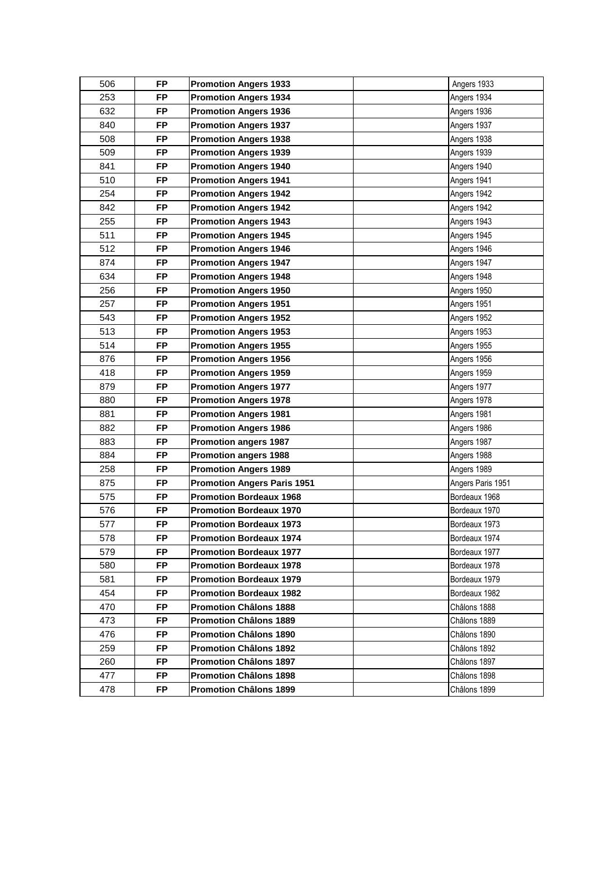| 506 | <b>FP</b> | <b>Promotion Angers 1933</b>       | Angers 1933       |
|-----|-----------|------------------------------------|-------------------|
| 253 | <b>FP</b> | <b>Promotion Angers 1934</b>       | Angers 1934       |
| 632 | <b>FP</b> | <b>Promotion Angers 1936</b>       | Angers 1936       |
| 840 | <b>FP</b> | <b>Promotion Angers 1937</b>       | Angers 1937       |
| 508 | <b>FP</b> | <b>Promotion Angers 1938</b>       | Angers 1938       |
| 509 | <b>FP</b> | <b>Promotion Angers 1939</b>       | Angers 1939       |
| 841 | <b>FP</b> | <b>Promotion Angers 1940</b>       | Angers 1940       |
| 510 | <b>FP</b> | <b>Promotion Angers 1941</b>       | Angers 1941       |
| 254 | <b>FP</b> | <b>Promotion Angers 1942</b>       | Angers 1942       |
| 842 | FP        | <b>Promotion Angers 1942</b>       | Angers 1942       |
| 255 | <b>FP</b> | <b>Promotion Angers 1943</b>       | Angers 1943       |
| 511 | <b>FP</b> | <b>Promotion Angers 1945</b>       | Angers 1945       |
| 512 | <b>FP</b> | <b>Promotion Angers 1946</b>       | Angers 1946       |
| 874 | <b>FP</b> | <b>Promotion Angers 1947</b>       | Angers 1947       |
| 634 | <b>FP</b> | <b>Promotion Angers 1948</b>       | Angers 1948       |
| 256 | <b>FP</b> | <b>Promotion Angers 1950</b>       | Angers 1950       |
| 257 | <b>FP</b> | <b>Promotion Angers 1951</b>       | Angers 1951       |
| 543 | <b>FP</b> | <b>Promotion Angers 1952</b>       | Angers 1952       |
| 513 | <b>FP</b> | <b>Promotion Angers 1953</b>       | Angers 1953       |
| 514 | <b>FP</b> | <b>Promotion Angers 1955</b>       | Angers 1955       |
| 876 | <b>FP</b> | <b>Promotion Angers 1956</b>       | Angers 1956       |
| 418 | <b>FP</b> | <b>Promotion Angers 1959</b>       | Angers 1959       |
| 879 | <b>FP</b> | <b>Promotion Angers 1977</b>       | Angers 1977       |
| 880 | FP        | <b>Promotion Angers 1978</b>       | Angers 1978       |
| 881 | <b>FP</b> | <b>Promotion Angers 1981</b>       | Angers 1981       |
| 882 | <b>FP</b> | <b>Promotion Angers 1986</b>       | Angers 1986       |
| 883 | <b>FP</b> | <b>Promotion angers 1987</b>       | Angers 1987       |
| 884 | <b>FP</b> | <b>Promotion angers 1988</b>       | Angers 1988       |
| 258 | <b>FP</b> | <b>Promotion Angers 1989</b>       | Angers 1989       |
| 875 | <b>FP</b> | <b>Promotion Angers Paris 1951</b> | Angers Paris 1951 |
| 575 | <b>FP</b> | <b>Promotion Bordeaux 1968</b>     | Bordeaux 1968     |
| 576 | <b>FP</b> | <b>Promotion Bordeaux 1970</b>     | Bordeaux 1970     |
| 577 | FP        | <b>Promotion Bordeaux 1973</b>     | Bordeaux 1973     |
| 578 | FP        | <b>Promotion Bordeaux 1974</b>     | Bordeaux 1974     |
| 579 | FP.       | <b>Promotion Bordeaux 1977</b>     | Bordeaux 1977     |
| 580 | <b>FP</b> | <b>Promotion Bordeaux 1978</b>     | Bordeaux 1978     |
| 581 | <b>FP</b> | <b>Promotion Bordeaux 1979</b>     | Bordeaux 1979     |
| 454 | <b>FP</b> | <b>Promotion Bordeaux 1982</b>     | Bordeaux 1982     |
| 470 | <b>FP</b> | <b>Promotion Châlons 1888</b>      | Châlons 1888      |
| 473 | <b>FP</b> | <b>Promotion Châlons 1889</b>      | Châlons 1889      |
| 476 | <b>FP</b> | <b>Promotion Châlons 1890</b>      | Châlons 1890      |
| 259 | <b>FP</b> | <b>Promotion Châlons 1892</b>      | Châlons 1892      |
| 260 | <b>FP</b> | <b>Promotion Châlons 1897</b>      | Châlons 1897      |
| 477 | FP.       | <b>Promotion Châlons 1898</b>      | Châlons 1898      |
| 478 | <b>FP</b> | <b>Promotion Châlons 1899</b>      | Châlons 1899      |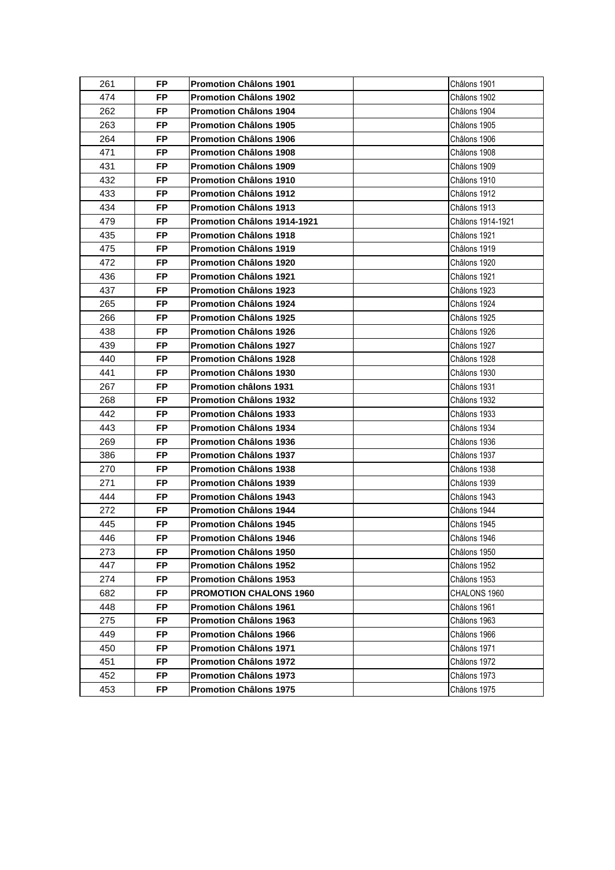| 261 | FP        | <b>Promotion Châlons 1901</b> | Châlons 1901      |
|-----|-----------|-------------------------------|-------------------|
| 474 | <b>FP</b> | <b>Promotion Châlons 1902</b> | Châlons 1902      |
| 262 | <b>FP</b> | <b>Promotion Châlons 1904</b> | Châlons 1904      |
| 263 | FP        | <b>Promotion Châlons 1905</b> | Châlons 1905      |
| 264 | FP        | <b>Promotion Châlons 1906</b> | Châlons 1906      |
| 471 | <b>FP</b> | <b>Promotion Châlons 1908</b> | Châlons 1908      |
| 431 | <b>FP</b> | <b>Promotion Châlons 1909</b> | Châlons 1909      |
| 432 | <b>FP</b> | <b>Promotion Châlons 1910</b> | Châlons 1910      |
| 433 | FP        | <b>Promotion Châlons 1912</b> | Châlons 1912      |
| 434 | FP        | Promotion Châlons 1913        | Châlons 1913      |
| 479 | <b>FP</b> | Promotion Châlons 1914-1921   | Châlons 1914-1921 |
| 435 | <b>FP</b> | <b>Promotion Châlons 1918</b> | Châlons 1921      |
| 475 | <b>FP</b> | <b>Promotion Châlons 1919</b> | Châlons 1919      |
| 472 | FP.       | <b>Promotion Châlons 1920</b> | Châlons 1920      |
| 436 | <b>FP</b> | <b>Promotion Châlons 1921</b> | Châlons 1921      |
| 437 | <b>FP</b> | <b>Promotion Châlons 1923</b> | Châlons 1923      |
| 265 | <b>FP</b> | <b>Promotion Châlons 1924</b> | Châlons 1924      |
| 266 | FP        | Promotion Châlons 1925        | Châlons 1925      |
| 438 | FP        | Promotion Châlons 1926        | Châlons 1926      |
| 439 | <b>FP</b> | <b>Promotion Châlons 1927</b> | Châlons 1927      |
| 440 | <b>FP</b> | <b>Promotion Châlons 1928</b> | Châlons 1928      |
| 441 | FP        | <b>Promotion Châlons 1930</b> | Châlons 1930      |
| 267 | FP        | Promotion châlons 1931        | Châlons 1931      |
| 268 | <b>FP</b> | <b>Promotion Châlons 1932</b> | Châlons 1932      |
| 442 | <b>FP</b> | <b>Promotion Châlons 1933</b> | Châlons 1933      |
| 443 | <b>FP</b> | <b>Promotion Châlons 1934</b> | Châlons 1934      |
| 269 | FP        | <b>Promotion Châlons 1936</b> | Châlons 1936      |
| 386 | FP        | Promotion Châlons 1937        | Châlons 1937      |
| 270 | <b>FP</b> | <b>Promotion Châlons 1938</b> | Châlons 1938      |
| 271 | <b>FP</b> | <b>Promotion Châlons 1939</b> | Châlons 1939      |
| 444 | <b>FP</b> | <b>Promotion Châlons 1943</b> | Châlons 1943      |
| 272 | <b>FP</b> | <b>Promotion Châlons 1944</b> | Châlons 1944      |
| 445 | FP        | <b>Promotion Châlons 1945</b> | Châlons 1945      |
| 446 | FP        | <b>Promotion Châlons 1946</b> | Châlons 1946      |
| 273 | <b>FP</b> | <b>Promotion Châlons 1950</b> | Châlons 1950      |
| 447 | FP        | <b>Promotion Châlons 1952</b> | Châlons 1952      |
| 274 | <b>FP</b> | <b>Promotion Châlons 1953</b> | Châlons 1953      |
| 682 | <b>FP</b> | <b>PROMOTION CHALONS 1960</b> | CHALONS 1960      |
| 448 | <b>FP</b> | <b>Promotion Châlons 1961</b> | Châlons 1961      |
| 275 | <b>FP</b> | <b>Promotion Châlons 1963</b> | Châlons 1963      |
| 449 | <b>FP</b> | <b>Promotion Châlons 1966</b> | Châlons 1966      |
| 450 | <b>FP</b> | <b>Promotion Châlons 1971</b> | Châlons 1971      |
| 451 | FP        | <b>Promotion Châlons 1972</b> | Châlons 1972      |
| 452 | <b>FP</b> | <b>Promotion Châlons 1973</b> | Châlons 1973      |
| 453 | <b>FP</b> | <b>Promotion Châlons 1975</b> | Châlons 1975      |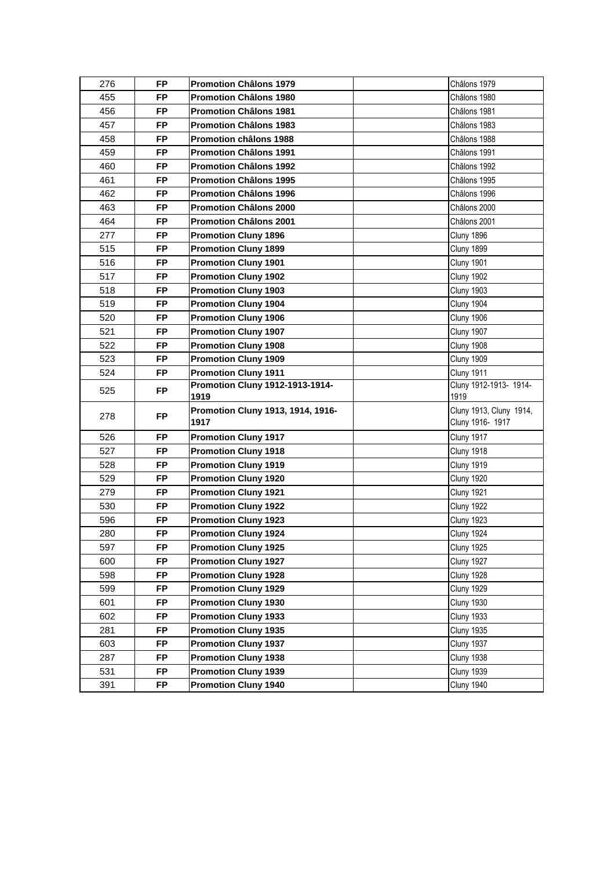| 276 | FP        | <b>Promotion Châlons 1979</b>             | Châlons 1979                                |
|-----|-----------|-------------------------------------------|---------------------------------------------|
| 455 | <b>FP</b> | <b>Promotion Châlons 1980</b>             | Châlons 1980                                |
| 456 | <b>FP</b> | <b>Promotion Châlons 1981</b>             | Châlons 1981                                |
| 457 | <b>FP</b> | <b>Promotion Châlons 1983</b>             | Châlons 1983                                |
| 458 | <b>FP</b> | <b>Promotion châlons 1988</b>             | Châlons 1988                                |
| 459 | <b>FP</b> | <b>Promotion Châlons 1991</b>             | Châlons 1991                                |
| 460 | <b>FP</b> | <b>Promotion Châlons 1992</b>             | Châlons 1992                                |
| 461 | <b>FP</b> | <b>Promotion Châlons 1995</b>             | Châlons 1995                                |
| 462 | <b>FP</b> | <b>Promotion Châlons 1996</b>             | Châlons 1996                                |
| 463 | <b>FP</b> | <b>Promotion Châlons 2000</b>             | Châlons 2000                                |
| 464 | <b>FP</b> | <b>Promotion Châlons 2001</b>             | Châlons 2001                                |
| 277 | <b>FP</b> | <b>Promotion Cluny 1896</b>               | Cluny 1896                                  |
| 515 | <b>FP</b> | <b>Promotion Cluny 1899</b>               | Cluny 1899                                  |
| 516 | <b>FP</b> | <b>Promotion Cluny 1901</b>               | <b>Cluny 1901</b>                           |
| 517 | <b>FP</b> | <b>Promotion Cluny 1902</b>               | Cluny 1902                                  |
| 518 | <b>FP</b> | <b>Promotion Cluny 1903</b>               | Cluny 1903                                  |
| 519 | <b>FP</b> | <b>Promotion Cluny 1904</b>               | Cluny 1904                                  |
| 520 | <b>FP</b> | <b>Promotion Cluny 1906</b>               | Cluny 1906                                  |
| 521 | <b>FP</b> | <b>Promotion Cluny 1907</b>               | Cluny 1907                                  |
| 522 | <b>FP</b> | <b>Promotion Cluny 1908</b>               | Cluny 1908                                  |
| 523 | <b>FP</b> | <b>Promotion Cluny 1909</b>               | Cluny 1909                                  |
| 524 | <b>FP</b> | <b>Promotion Cluny 1911</b>               | Cluny 1911                                  |
| 525 | <b>FP</b> | Promotion Cluny 1912-1913-1914-<br>1919   | Cluny 1912-1913- 1914-<br>1919              |
| 278 | <b>FP</b> | Promotion Cluny 1913, 1914, 1916-<br>1917 | Cluny 1913, Cluny 1914,<br>Cluny 1916- 1917 |
| 526 | <b>FP</b> | <b>Promotion Cluny 1917</b>               | Cluny 1917                                  |
| 527 | <b>FP</b> | <b>Promotion Cluny 1918</b>               | Cluny 1918                                  |
| 528 | <b>FP</b> | <b>Promotion Cluny 1919</b>               | <b>Cluny 1919</b>                           |
| 529 | <b>FP</b> | <b>Promotion Cluny 1920</b>               | <b>Cluny 1920</b>                           |
| 279 | <b>FP</b> | <b>Promotion Cluny 1921</b>               | <b>Cluny 1921</b>                           |
| 530 | <b>FP</b> | <b>Promotion Cluny 1922</b>               | <b>Cluny 1922</b>                           |
| 596 | <b>FP</b> | <b>Promotion Cluny 1923</b>               | <b>Cluny 1923</b>                           |
| 280 | <b>FP</b> | <b>Promotion Cluny 1924</b>               | Cluny 1924                                  |
| 597 | <b>FP</b> | <b>Promotion Cluny 1925</b>               | Cluny 1925                                  |
| 600 | <b>FP</b> | <b>Promotion Cluny 1927</b>               | Cluny 1927                                  |
| 598 | <b>FP</b> | <b>Promotion Cluny 1928</b>               | <b>Cluny 1928</b>                           |
| 599 | <b>FP</b> | <b>Promotion Cluny 1929</b>               | Cluny 1929                                  |
| 601 | <b>FP</b> | <b>Promotion Cluny 1930</b>               | <b>Cluny 1930</b>                           |
| 602 | <b>FP</b> | <b>Promotion Cluny 1933</b>               | <b>Cluny 1933</b>                           |
| 281 | <b>FP</b> | <b>Promotion Cluny 1935</b>               | <b>Cluny 1935</b>                           |
| 603 | <b>FP</b> | <b>Promotion Cluny 1937</b>               | Cluny 1937                                  |
| 287 | <b>FP</b> | <b>Promotion Cluny 1938</b>               | Cluny 1938                                  |
| 531 | <b>FP</b> | <b>Promotion Cluny 1939</b>               | Cluny 1939                                  |
| 391 | <b>FP</b> | <b>Promotion Cluny 1940</b>               | Cluny 1940                                  |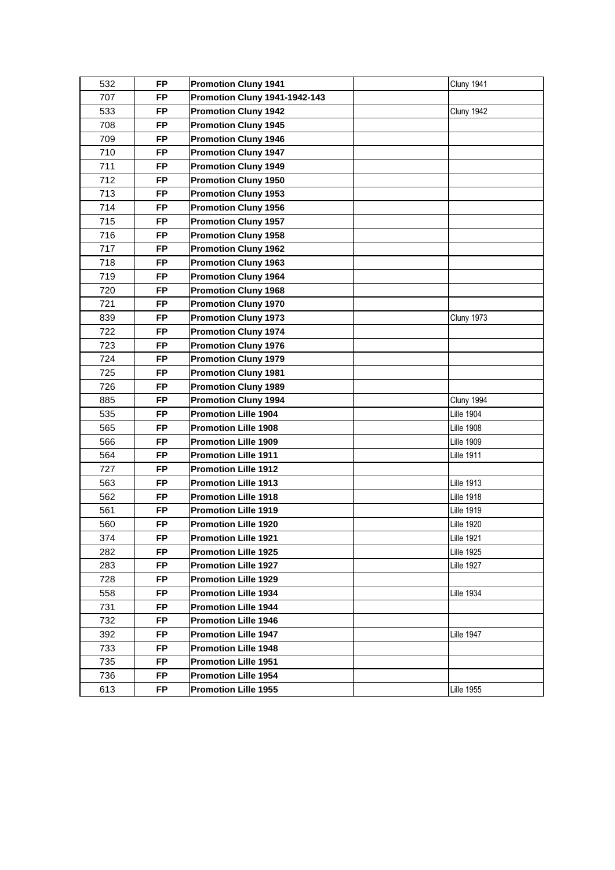| 532<br><b>FP</b><br><b>Promotion Cluny 1941</b><br>Cluny 1941<br>707<br>Promotion Cluny 1941-1942-143<br><b>FP</b><br><b>FP</b><br><b>Promotion Cluny 1942</b><br>533<br>Cluny 1942<br>708<br><b>FP</b><br><b>Promotion Cluny 1945</b><br>709<br><b>FP</b><br><b>Promotion Cluny 1946</b><br>710<br><b>FP</b><br><b>Promotion Cluny 1947</b><br><b>FP</b><br>711<br><b>Promotion Cluny 1949</b><br>712<br><b>FP</b><br><b>Promotion Cluny 1950</b><br>713<br><b>FP</b><br><b>Promotion Cluny 1953</b><br>714<br><b>FP</b><br><b>Promotion Cluny 1956</b><br>715<br><b>FP</b><br><b>Promotion Cluny 1957</b><br>716<br><b>FP</b><br><b>Promotion Cluny 1958</b><br>717<br><b>FP</b><br><b>Promotion Cluny 1962</b><br>718<br><b>FP</b><br><b>Promotion Cluny 1963</b><br>719<br><b>FP</b><br><b>Promotion Cluny 1964</b><br><b>FP</b><br>720<br><b>Promotion Cluny 1968</b><br>721<br><b>FP</b><br><b>Promotion Cluny 1970</b><br><b>FP</b><br><b>Promotion Cluny 1973</b><br>839<br><b>Cluny 1973</b><br>722<br><b>FP</b><br><b>Promotion Cluny 1974</b><br>723<br><b>FP</b><br><b>Promotion Cluny 1976</b><br><b>FP</b><br>724<br><b>Promotion Cluny 1979</b><br>725<br><b>FP</b><br><b>Promotion Cluny 1981</b><br>726<br><b>FP</b><br><b>Promotion Cluny 1989</b><br>885<br><b>FP</b><br><b>Promotion Cluny 1994</b><br>Cluny 1994<br><b>FP</b><br><b>Promotion Lille 1904</b><br>535<br><b>Lille 1904</b><br>565<br><b>FP</b><br><b>Promotion Lille 1908</b><br><b>Lille 1908</b><br>566<br><b>FP</b><br><b>Promotion Lille 1909</b><br><b>Lille 1909</b><br>564<br><b>FP</b><br><b>Promotion Lille 1911</b><br><b>Lille 1911</b><br>727<br><b>FP</b><br><b>Promotion Lille 1912</b><br>563<br><b>FP</b><br><b>Lille 1913</b><br><b>Promotion Lille 1913</b><br><b>FP</b><br>562<br><b>Promotion Lille 1918</b><br><b>Lille 1918</b><br>561<br><b>FP</b><br><b>Promotion Lille 1919</b><br><b>Lille 1919</b><br><b>Lille 1920</b><br>560<br><b>FP</b><br><b>Promotion Lille 1920</b><br>374<br>FP<br><b>Lille 1921</b><br><b>Promotion Lille 1921</b><br>FP.<br>282<br><b>Promotion Lille 1925</b><br>Lille 1925<br>283<br>FP.<br><b>Promotion Lille 1927</b><br>Lille 1927<br>728<br><b>FP</b><br>Promotion Lille 1929<br>558<br><b>FP</b><br><b>Promotion Lille 1934</b><br>Lille 1934<br>731<br><b>FP</b><br><b>Promotion Lille 1944</b><br><b>FP</b><br>732<br><b>Promotion Lille 1946</b><br><b>FP</b><br>392<br><b>Promotion Lille 1947</b><br>Lille 1947<br>733<br><b>FP</b><br>Promotion Lille 1948<br>735<br><b>FP</b><br><b>Promotion Lille 1951</b><br><b>FP</b><br>736<br><b>Promotion Lille 1954</b><br>613<br>FP.<br><b>Promotion Lille 1955</b><br>Lille 1955 |  |  |  |
|----------------------------------------------------------------------------------------------------------------------------------------------------------------------------------------------------------------------------------------------------------------------------------------------------------------------------------------------------------------------------------------------------------------------------------------------------------------------------------------------------------------------------------------------------------------------------------------------------------------------------------------------------------------------------------------------------------------------------------------------------------------------------------------------------------------------------------------------------------------------------------------------------------------------------------------------------------------------------------------------------------------------------------------------------------------------------------------------------------------------------------------------------------------------------------------------------------------------------------------------------------------------------------------------------------------------------------------------------------------------------------------------------------------------------------------------------------------------------------------------------------------------------------------------------------------------------------------------------------------------------------------------------------------------------------------------------------------------------------------------------------------------------------------------------------------------------------------------------------------------------------------------------------------------------------------------------------------------------------------------------------------------------------------------------------------------------------------------------------------------------------------------------------------------------------------------------------------------------------------------------------------------------------------------------------------------------------------------------------------------------------------------------------------------------------------------------------------------------------------------------------------------------------------------------------------------------------------------------------------------------------------------------------------------------------|--|--|--|
|                                                                                                                                                                                                                                                                                                                                                                                                                                                                                                                                                                                                                                                                                                                                                                                                                                                                                                                                                                                                                                                                                                                                                                                                                                                                                                                                                                                                                                                                                                                                                                                                                                                                                                                                                                                                                                                                                                                                                                                                                                                                                                                                                                                                                                                                                                                                                                                                                                                                                                                                                                                                                                                                                  |  |  |  |
|                                                                                                                                                                                                                                                                                                                                                                                                                                                                                                                                                                                                                                                                                                                                                                                                                                                                                                                                                                                                                                                                                                                                                                                                                                                                                                                                                                                                                                                                                                                                                                                                                                                                                                                                                                                                                                                                                                                                                                                                                                                                                                                                                                                                                                                                                                                                                                                                                                                                                                                                                                                                                                                                                  |  |  |  |
|                                                                                                                                                                                                                                                                                                                                                                                                                                                                                                                                                                                                                                                                                                                                                                                                                                                                                                                                                                                                                                                                                                                                                                                                                                                                                                                                                                                                                                                                                                                                                                                                                                                                                                                                                                                                                                                                                                                                                                                                                                                                                                                                                                                                                                                                                                                                                                                                                                                                                                                                                                                                                                                                                  |  |  |  |
|                                                                                                                                                                                                                                                                                                                                                                                                                                                                                                                                                                                                                                                                                                                                                                                                                                                                                                                                                                                                                                                                                                                                                                                                                                                                                                                                                                                                                                                                                                                                                                                                                                                                                                                                                                                                                                                                                                                                                                                                                                                                                                                                                                                                                                                                                                                                                                                                                                                                                                                                                                                                                                                                                  |  |  |  |
|                                                                                                                                                                                                                                                                                                                                                                                                                                                                                                                                                                                                                                                                                                                                                                                                                                                                                                                                                                                                                                                                                                                                                                                                                                                                                                                                                                                                                                                                                                                                                                                                                                                                                                                                                                                                                                                                                                                                                                                                                                                                                                                                                                                                                                                                                                                                                                                                                                                                                                                                                                                                                                                                                  |  |  |  |
|                                                                                                                                                                                                                                                                                                                                                                                                                                                                                                                                                                                                                                                                                                                                                                                                                                                                                                                                                                                                                                                                                                                                                                                                                                                                                                                                                                                                                                                                                                                                                                                                                                                                                                                                                                                                                                                                                                                                                                                                                                                                                                                                                                                                                                                                                                                                                                                                                                                                                                                                                                                                                                                                                  |  |  |  |
|                                                                                                                                                                                                                                                                                                                                                                                                                                                                                                                                                                                                                                                                                                                                                                                                                                                                                                                                                                                                                                                                                                                                                                                                                                                                                                                                                                                                                                                                                                                                                                                                                                                                                                                                                                                                                                                                                                                                                                                                                                                                                                                                                                                                                                                                                                                                                                                                                                                                                                                                                                                                                                                                                  |  |  |  |
|                                                                                                                                                                                                                                                                                                                                                                                                                                                                                                                                                                                                                                                                                                                                                                                                                                                                                                                                                                                                                                                                                                                                                                                                                                                                                                                                                                                                                                                                                                                                                                                                                                                                                                                                                                                                                                                                                                                                                                                                                                                                                                                                                                                                                                                                                                                                                                                                                                                                                                                                                                                                                                                                                  |  |  |  |
|                                                                                                                                                                                                                                                                                                                                                                                                                                                                                                                                                                                                                                                                                                                                                                                                                                                                                                                                                                                                                                                                                                                                                                                                                                                                                                                                                                                                                                                                                                                                                                                                                                                                                                                                                                                                                                                                                                                                                                                                                                                                                                                                                                                                                                                                                                                                                                                                                                                                                                                                                                                                                                                                                  |  |  |  |
|                                                                                                                                                                                                                                                                                                                                                                                                                                                                                                                                                                                                                                                                                                                                                                                                                                                                                                                                                                                                                                                                                                                                                                                                                                                                                                                                                                                                                                                                                                                                                                                                                                                                                                                                                                                                                                                                                                                                                                                                                                                                                                                                                                                                                                                                                                                                                                                                                                                                                                                                                                                                                                                                                  |  |  |  |
|                                                                                                                                                                                                                                                                                                                                                                                                                                                                                                                                                                                                                                                                                                                                                                                                                                                                                                                                                                                                                                                                                                                                                                                                                                                                                                                                                                                                                                                                                                                                                                                                                                                                                                                                                                                                                                                                                                                                                                                                                                                                                                                                                                                                                                                                                                                                                                                                                                                                                                                                                                                                                                                                                  |  |  |  |
|                                                                                                                                                                                                                                                                                                                                                                                                                                                                                                                                                                                                                                                                                                                                                                                                                                                                                                                                                                                                                                                                                                                                                                                                                                                                                                                                                                                                                                                                                                                                                                                                                                                                                                                                                                                                                                                                                                                                                                                                                                                                                                                                                                                                                                                                                                                                                                                                                                                                                                                                                                                                                                                                                  |  |  |  |
|                                                                                                                                                                                                                                                                                                                                                                                                                                                                                                                                                                                                                                                                                                                                                                                                                                                                                                                                                                                                                                                                                                                                                                                                                                                                                                                                                                                                                                                                                                                                                                                                                                                                                                                                                                                                                                                                                                                                                                                                                                                                                                                                                                                                                                                                                                                                                                                                                                                                                                                                                                                                                                                                                  |  |  |  |
|                                                                                                                                                                                                                                                                                                                                                                                                                                                                                                                                                                                                                                                                                                                                                                                                                                                                                                                                                                                                                                                                                                                                                                                                                                                                                                                                                                                                                                                                                                                                                                                                                                                                                                                                                                                                                                                                                                                                                                                                                                                                                                                                                                                                                                                                                                                                                                                                                                                                                                                                                                                                                                                                                  |  |  |  |
|                                                                                                                                                                                                                                                                                                                                                                                                                                                                                                                                                                                                                                                                                                                                                                                                                                                                                                                                                                                                                                                                                                                                                                                                                                                                                                                                                                                                                                                                                                                                                                                                                                                                                                                                                                                                                                                                                                                                                                                                                                                                                                                                                                                                                                                                                                                                                                                                                                                                                                                                                                                                                                                                                  |  |  |  |
|                                                                                                                                                                                                                                                                                                                                                                                                                                                                                                                                                                                                                                                                                                                                                                                                                                                                                                                                                                                                                                                                                                                                                                                                                                                                                                                                                                                                                                                                                                                                                                                                                                                                                                                                                                                                                                                                                                                                                                                                                                                                                                                                                                                                                                                                                                                                                                                                                                                                                                                                                                                                                                                                                  |  |  |  |
|                                                                                                                                                                                                                                                                                                                                                                                                                                                                                                                                                                                                                                                                                                                                                                                                                                                                                                                                                                                                                                                                                                                                                                                                                                                                                                                                                                                                                                                                                                                                                                                                                                                                                                                                                                                                                                                                                                                                                                                                                                                                                                                                                                                                                                                                                                                                                                                                                                                                                                                                                                                                                                                                                  |  |  |  |
|                                                                                                                                                                                                                                                                                                                                                                                                                                                                                                                                                                                                                                                                                                                                                                                                                                                                                                                                                                                                                                                                                                                                                                                                                                                                                                                                                                                                                                                                                                                                                                                                                                                                                                                                                                                                                                                                                                                                                                                                                                                                                                                                                                                                                                                                                                                                                                                                                                                                                                                                                                                                                                                                                  |  |  |  |
|                                                                                                                                                                                                                                                                                                                                                                                                                                                                                                                                                                                                                                                                                                                                                                                                                                                                                                                                                                                                                                                                                                                                                                                                                                                                                                                                                                                                                                                                                                                                                                                                                                                                                                                                                                                                                                                                                                                                                                                                                                                                                                                                                                                                                                                                                                                                                                                                                                                                                                                                                                                                                                                                                  |  |  |  |
|                                                                                                                                                                                                                                                                                                                                                                                                                                                                                                                                                                                                                                                                                                                                                                                                                                                                                                                                                                                                                                                                                                                                                                                                                                                                                                                                                                                                                                                                                                                                                                                                                                                                                                                                                                                                                                                                                                                                                                                                                                                                                                                                                                                                                                                                                                                                                                                                                                                                                                                                                                                                                                                                                  |  |  |  |
|                                                                                                                                                                                                                                                                                                                                                                                                                                                                                                                                                                                                                                                                                                                                                                                                                                                                                                                                                                                                                                                                                                                                                                                                                                                                                                                                                                                                                                                                                                                                                                                                                                                                                                                                                                                                                                                                                                                                                                                                                                                                                                                                                                                                                                                                                                                                                                                                                                                                                                                                                                                                                                                                                  |  |  |  |
|                                                                                                                                                                                                                                                                                                                                                                                                                                                                                                                                                                                                                                                                                                                                                                                                                                                                                                                                                                                                                                                                                                                                                                                                                                                                                                                                                                                                                                                                                                                                                                                                                                                                                                                                                                                                                                                                                                                                                                                                                                                                                                                                                                                                                                                                                                                                                                                                                                                                                                                                                                                                                                                                                  |  |  |  |
|                                                                                                                                                                                                                                                                                                                                                                                                                                                                                                                                                                                                                                                                                                                                                                                                                                                                                                                                                                                                                                                                                                                                                                                                                                                                                                                                                                                                                                                                                                                                                                                                                                                                                                                                                                                                                                                                                                                                                                                                                                                                                                                                                                                                                                                                                                                                                                                                                                                                                                                                                                                                                                                                                  |  |  |  |
|                                                                                                                                                                                                                                                                                                                                                                                                                                                                                                                                                                                                                                                                                                                                                                                                                                                                                                                                                                                                                                                                                                                                                                                                                                                                                                                                                                                                                                                                                                                                                                                                                                                                                                                                                                                                                                                                                                                                                                                                                                                                                                                                                                                                                                                                                                                                                                                                                                                                                                                                                                                                                                                                                  |  |  |  |
|                                                                                                                                                                                                                                                                                                                                                                                                                                                                                                                                                                                                                                                                                                                                                                                                                                                                                                                                                                                                                                                                                                                                                                                                                                                                                                                                                                                                                                                                                                                                                                                                                                                                                                                                                                                                                                                                                                                                                                                                                                                                                                                                                                                                                                                                                                                                                                                                                                                                                                                                                                                                                                                                                  |  |  |  |
|                                                                                                                                                                                                                                                                                                                                                                                                                                                                                                                                                                                                                                                                                                                                                                                                                                                                                                                                                                                                                                                                                                                                                                                                                                                                                                                                                                                                                                                                                                                                                                                                                                                                                                                                                                                                                                                                                                                                                                                                                                                                                                                                                                                                                                                                                                                                                                                                                                                                                                                                                                                                                                                                                  |  |  |  |
|                                                                                                                                                                                                                                                                                                                                                                                                                                                                                                                                                                                                                                                                                                                                                                                                                                                                                                                                                                                                                                                                                                                                                                                                                                                                                                                                                                                                                                                                                                                                                                                                                                                                                                                                                                                                                                                                                                                                                                                                                                                                                                                                                                                                                                                                                                                                                                                                                                                                                                                                                                                                                                                                                  |  |  |  |
|                                                                                                                                                                                                                                                                                                                                                                                                                                                                                                                                                                                                                                                                                                                                                                                                                                                                                                                                                                                                                                                                                                                                                                                                                                                                                                                                                                                                                                                                                                                                                                                                                                                                                                                                                                                                                                                                                                                                                                                                                                                                                                                                                                                                                                                                                                                                                                                                                                                                                                                                                                                                                                                                                  |  |  |  |
|                                                                                                                                                                                                                                                                                                                                                                                                                                                                                                                                                                                                                                                                                                                                                                                                                                                                                                                                                                                                                                                                                                                                                                                                                                                                                                                                                                                                                                                                                                                                                                                                                                                                                                                                                                                                                                                                                                                                                                                                                                                                                                                                                                                                                                                                                                                                                                                                                                                                                                                                                                                                                                                                                  |  |  |  |
|                                                                                                                                                                                                                                                                                                                                                                                                                                                                                                                                                                                                                                                                                                                                                                                                                                                                                                                                                                                                                                                                                                                                                                                                                                                                                                                                                                                                                                                                                                                                                                                                                                                                                                                                                                                                                                                                                                                                                                                                                                                                                                                                                                                                                                                                                                                                                                                                                                                                                                                                                                                                                                                                                  |  |  |  |
|                                                                                                                                                                                                                                                                                                                                                                                                                                                                                                                                                                                                                                                                                                                                                                                                                                                                                                                                                                                                                                                                                                                                                                                                                                                                                                                                                                                                                                                                                                                                                                                                                                                                                                                                                                                                                                                                                                                                                                                                                                                                                                                                                                                                                                                                                                                                                                                                                                                                                                                                                                                                                                                                                  |  |  |  |
|                                                                                                                                                                                                                                                                                                                                                                                                                                                                                                                                                                                                                                                                                                                                                                                                                                                                                                                                                                                                                                                                                                                                                                                                                                                                                                                                                                                                                                                                                                                                                                                                                                                                                                                                                                                                                                                                                                                                                                                                                                                                                                                                                                                                                                                                                                                                                                                                                                                                                                                                                                                                                                                                                  |  |  |  |
|                                                                                                                                                                                                                                                                                                                                                                                                                                                                                                                                                                                                                                                                                                                                                                                                                                                                                                                                                                                                                                                                                                                                                                                                                                                                                                                                                                                                                                                                                                                                                                                                                                                                                                                                                                                                                                                                                                                                                                                                                                                                                                                                                                                                                                                                                                                                                                                                                                                                                                                                                                                                                                                                                  |  |  |  |
|                                                                                                                                                                                                                                                                                                                                                                                                                                                                                                                                                                                                                                                                                                                                                                                                                                                                                                                                                                                                                                                                                                                                                                                                                                                                                                                                                                                                                                                                                                                                                                                                                                                                                                                                                                                                                                                                                                                                                                                                                                                                                                                                                                                                                                                                                                                                                                                                                                                                                                                                                                                                                                                                                  |  |  |  |
|                                                                                                                                                                                                                                                                                                                                                                                                                                                                                                                                                                                                                                                                                                                                                                                                                                                                                                                                                                                                                                                                                                                                                                                                                                                                                                                                                                                                                                                                                                                                                                                                                                                                                                                                                                                                                                                                                                                                                                                                                                                                                                                                                                                                                                                                                                                                                                                                                                                                                                                                                                                                                                                                                  |  |  |  |
|                                                                                                                                                                                                                                                                                                                                                                                                                                                                                                                                                                                                                                                                                                                                                                                                                                                                                                                                                                                                                                                                                                                                                                                                                                                                                                                                                                                                                                                                                                                                                                                                                                                                                                                                                                                                                                                                                                                                                                                                                                                                                                                                                                                                                                                                                                                                                                                                                                                                                                                                                                                                                                                                                  |  |  |  |
|                                                                                                                                                                                                                                                                                                                                                                                                                                                                                                                                                                                                                                                                                                                                                                                                                                                                                                                                                                                                                                                                                                                                                                                                                                                                                                                                                                                                                                                                                                                                                                                                                                                                                                                                                                                                                                                                                                                                                                                                                                                                                                                                                                                                                                                                                                                                                                                                                                                                                                                                                                                                                                                                                  |  |  |  |
|                                                                                                                                                                                                                                                                                                                                                                                                                                                                                                                                                                                                                                                                                                                                                                                                                                                                                                                                                                                                                                                                                                                                                                                                                                                                                                                                                                                                                                                                                                                                                                                                                                                                                                                                                                                                                                                                                                                                                                                                                                                                                                                                                                                                                                                                                                                                                                                                                                                                                                                                                                                                                                                                                  |  |  |  |
|                                                                                                                                                                                                                                                                                                                                                                                                                                                                                                                                                                                                                                                                                                                                                                                                                                                                                                                                                                                                                                                                                                                                                                                                                                                                                                                                                                                                                                                                                                                                                                                                                                                                                                                                                                                                                                                                                                                                                                                                                                                                                                                                                                                                                                                                                                                                                                                                                                                                                                                                                                                                                                                                                  |  |  |  |
|                                                                                                                                                                                                                                                                                                                                                                                                                                                                                                                                                                                                                                                                                                                                                                                                                                                                                                                                                                                                                                                                                                                                                                                                                                                                                                                                                                                                                                                                                                                                                                                                                                                                                                                                                                                                                                                                                                                                                                                                                                                                                                                                                                                                                                                                                                                                                                                                                                                                                                                                                                                                                                                                                  |  |  |  |
|                                                                                                                                                                                                                                                                                                                                                                                                                                                                                                                                                                                                                                                                                                                                                                                                                                                                                                                                                                                                                                                                                                                                                                                                                                                                                                                                                                                                                                                                                                                                                                                                                                                                                                                                                                                                                                                                                                                                                                                                                                                                                                                                                                                                                                                                                                                                                                                                                                                                                                                                                                                                                                                                                  |  |  |  |
|                                                                                                                                                                                                                                                                                                                                                                                                                                                                                                                                                                                                                                                                                                                                                                                                                                                                                                                                                                                                                                                                                                                                                                                                                                                                                                                                                                                                                                                                                                                                                                                                                                                                                                                                                                                                                                                                                                                                                                                                                                                                                                                                                                                                                                                                                                                                                                                                                                                                                                                                                                                                                                                                                  |  |  |  |
|                                                                                                                                                                                                                                                                                                                                                                                                                                                                                                                                                                                                                                                                                                                                                                                                                                                                                                                                                                                                                                                                                                                                                                                                                                                                                                                                                                                                                                                                                                                                                                                                                                                                                                                                                                                                                                                                                                                                                                                                                                                                                                                                                                                                                                                                                                                                                                                                                                                                                                                                                                                                                                                                                  |  |  |  |
|                                                                                                                                                                                                                                                                                                                                                                                                                                                                                                                                                                                                                                                                                                                                                                                                                                                                                                                                                                                                                                                                                                                                                                                                                                                                                                                                                                                                                                                                                                                                                                                                                                                                                                                                                                                                                                                                                                                                                                                                                                                                                                                                                                                                                                                                                                                                                                                                                                                                                                                                                                                                                                                                                  |  |  |  |
|                                                                                                                                                                                                                                                                                                                                                                                                                                                                                                                                                                                                                                                                                                                                                                                                                                                                                                                                                                                                                                                                                                                                                                                                                                                                                                                                                                                                                                                                                                                                                                                                                                                                                                                                                                                                                                                                                                                                                                                                                                                                                                                                                                                                                                                                                                                                                                                                                                                                                                                                                                                                                                                                                  |  |  |  |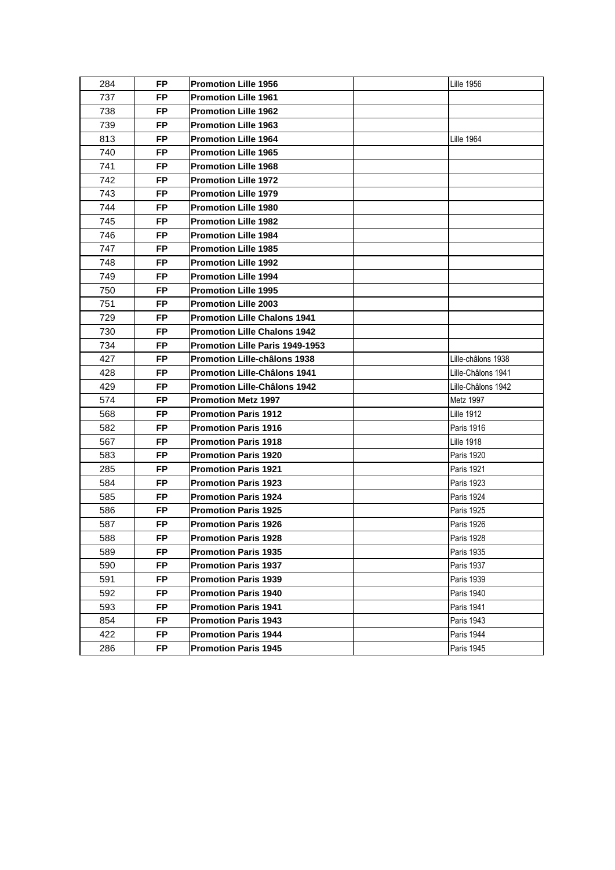| 284 | FP        | <b>Promotion Lille 1956</b>         | <b>Lille 1956</b>  |
|-----|-----------|-------------------------------------|--------------------|
| 737 | <b>FP</b> | <b>Promotion Lille 1961</b>         |                    |
| 738 | <b>FP</b> | <b>Promotion Lille 1962</b>         |                    |
| 739 | <b>FP</b> | <b>Promotion Lille 1963</b>         |                    |
| 813 | FP        | Promotion Lille 1964                | Lille 1964         |
| 740 | <b>FP</b> | <b>Promotion Lille 1965</b>         |                    |
| 741 | FP        | <b>Promotion Lille 1968</b>         |                    |
| 742 | FP        | <b>Promotion Lille 1972</b>         |                    |
| 743 | FP.       | <b>Promotion Lille 1979</b>         |                    |
| 744 | FP        | <b>Promotion Lille 1980</b>         |                    |
| 745 | FP.       | <b>Promotion Lille 1982</b>         |                    |
| 746 | FP.       | <b>Promotion Lille 1984</b>         |                    |
| 747 | <b>FP</b> | <b>Promotion Lille 1985</b>         |                    |
| 748 | FP        | Promotion Lille 1992                |                    |
| 749 | <b>FP</b> | <b>Promotion Lille 1994</b>         |                    |
| 750 | <b>FP</b> | <b>Promotion Lille 1995</b>         |                    |
| 751 | <b>FP</b> | <b>Promotion Lille 2003</b>         |                    |
| 729 | FP.       | Promotion Lille Chalons 1941        |                    |
| 730 | FP        | Promotion Lille Chalons 1942        |                    |
| 734 | <b>FP</b> | Promotion Lille Paris 1949-1953     |                    |
| 427 | <b>FP</b> | Promotion Lille-châlons 1938        | Lille-châlons 1938 |
| 428 | <b>FP</b> | <b>Promotion Lille-Châlons 1941</b> | Lille-Châlons 1941 |
| 429 | FP        | Promotion Lille-Châlons 1942        | Lille-Châlons 1942 |
| 574 | <b>FP</b> | <b>Promotion Metz 1997</b>          | Metz 1997          |
| 568 | FP        | <b>Promotion Paris 1912</b>         | <b>Lille 1912</b>  |
| 582 | FP        | <b>Promotion Paris 1916</b>         | Paris 1916         |
| 567 | FP        | <b>Promotion Paris 1918</b>         | <b>Lille 1918</b>  |
| 583 | FP.       | <b>Promotion Paris 1920</b>         | Paris 1920         |
| 285 | FP.       | <b>Promotion Paris 1921</b>         | <b>Paris 1921</b>  |
| 584 | FP.       | <b>Promotion Paris 1923</b>         | Paris 1923         |
| 585 | <b>FP</b> | <b>Promotion Paris 1924</b>         | <b>Paris 1924</b>  |
| 586 | <b>FP</b> | Promotion Paris 1925                | Paris 1925         |
| 587 | FP        | <b>Promotion Paris 1926</b>         | Paris 1926         |
| 588 | FP        | <b>Promotion Paris 1928</b>         | <b>Paris 1928</b>  |
| 589 | FP.       | <b>Promotion Paris 1935</b>         | Paris 1935         |
| 590 | FP.       | <b>Promotion Paris 1937</b>         | <b>Paris 1937</b>  |
| 591 | <b>FP</b> | <b>Promotion Paris 1939</b>         | Paris 1939         |
| 592 | FP.       | <b>Promotion Paris 1940</b>         | Paris 1940         |
| 593 | <b>FP</b> | <b>Promotion Paris 1941</b>         | Paris 1941         |
| 854 | <b>FP</b> | <b>Promotion Paris 1943</b>         | <b>Paris 1943</b>  |
| 422 | <b>FP</b> | <b>Promotion Paris 1944</b>         | Paris 1944         |
| 286 | <b>FP</b> | <b>Promotion Paris 1945</b>         | Paris 1945         |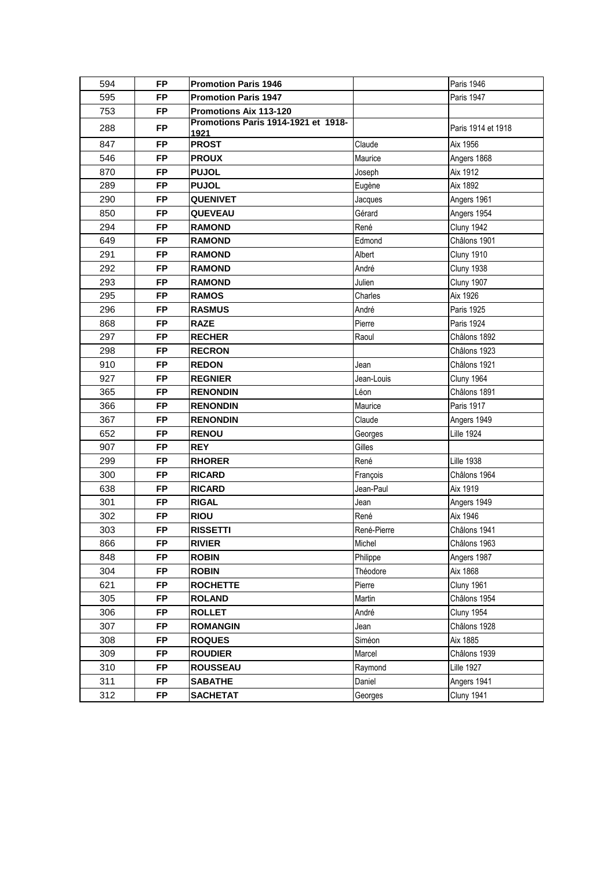| 594 | <b>FP</b> | <b>Promotion Paris 1946</b>                 |             | <b>Paris 1946</b>  |
|-----|-----------|---------------------------------------------|-------------|--------------------|
| 595 | <b>FP</b> | <b>Promotion Paris 1947</b>                 |             | Paris 1947         |
| 753 | <b>FP</b> | Promotions Aix 113-120                      |             |                    |
| 288 | <b>FP</b> | Promotions Paris 1914-1921 et 1918-<br>1921 |             | Paris 1914 et 1918 |
| 847 | <b>FP</b> | <b>PROST</b>                                | Claude      | Aix 1956           |
| 546 | <b>FP</b> | <b>PROUX</b>                                | Maurice     | Angers 1868        |
| 870 | <b>FP</b> | <b>PUJOL</b>                                | Joseph      | Aix 1912           |
| 289 | <b>FP</b> | <b>PUJOL</b>                                | Eugène      | Aix 1892           |
| 290 | <b>FP</b> | <b>QUENIVET</b>                             | Jacques     | Angers 1961        |
| 850 | <b>FP</b> | <b>QUEVEAU</b>                              | Gérard      | Angers 1954        |
| 294 | <b>FP</b> | <b>RAMOND</b>                               | René        | Cluny 1942         |
| 649 | <b>FP</b> | <b>RAMOND</b>                               | Edmond      | Châlons 1901       |
| 291 | <b>FP</b> | <b>RAMOND</b>                               | Albert      | <b>Cluny 1910</b>  |
| 292 | <b>FP</b> | <b>RAMOND</b>                               | André       | Cluny 1938         |
| 293 | <b>FP</b> | <b>RAMOND</b>                               | Julien      | <b>Cluny 1907</b>  |
| 295 | <b>FP</b> | <b>RAMOS</b>                                | Charles     | Aix 1926           |
| 296 | <b>FP</b> | <b>RASMUS</b>                               | André       | Paris 1925         |
| 868 | <b>FP</b> | <b>RAZE</b>                                 | Pierre      | Paris 1924         |
| 297 | <b>FP</b> | <b>RECHER</b>                               | Raoul       | Châlons 1892       |
| 298 | <b>FP</b> | <b>RECRON</b>                               |             | Châlons 1923       |
| 910 | <b>FP</b> | <b>REDON</b>                                | Jean        | Châlons 1921       |
| 927 | <b>FP</b> | <b>REGNIER</b>                              | Jean-Louis  | Cluny 1964         |
| 365 | <b>FP</b> | <b>RENONDIN</b>                             | Léon        | Châlons 1891       |
| 366 | <b>FP</b> | <b>RENONDIN</b>                             | Maurice     | <b>Paris 1917</b>  |
| 367 | <b>FP</b> | <b>RENONDIN</b>                             | Claude      | Angers 1949        |
| 652 | <b>FP</b> | <b>RENOU</b>                                | Georges     | <b>Lille 1924</b>  |
| 907 | <b>FP</b> | <b>REY</b>                                  | Gilles      |                    |
| 299 | <b>FP</b> | <b>RHORER</b>                               | René        | <b>Lille 1938</b>  |
| 300 | <b>FP</b> | <b>RICARD</b>                               | François    | Châlons 1964       |
| 638 | <b>FP</b> | <b>RICARD</b>                               | Jean-Paul   | Aix 1919           |
| 301 | <b>FP</b> | <b>RIGAL</b>                                | Jean        | Angers 1949        |
| 302 | <b>FP</b> | <b>RIOU</b>                                 | René        | Aix 1946           |
| 303 | <b>FP</b> | <b>RISSETTI</b>                             | René-Pierre | Châlons 1941       |
| 866 | <b>FP</b> | <b>RIVIER</b>                               | Michel      | Châlons 1963       |
| 848 | <b>FP</b> | <b>ROBIN</b>                                | Philippe    | Angers 1987        |
| 304 | <b>FP</b> | <b>ROBIN</b>                                | Théodore    | Aix 1868           |
| 621 | <b>FP</b> | <b>ROCHETTE</b>                             | Pierre      | <b>Cluny 1961</b>  |
| 305 | <b>FP</b> | <b>ROLAND</b>                               | Martin      | Châlons 1954       |
| 306 | <b>FP</b> | <b>ROLLET</b>                               | André       | <b>Cluny 1954</b>  |
| 307 | <b>FP</b> | <b>ROMANGIN</b>                             | Jean        | Châlons 1928       |
| 308 | <b>FP</b> | <b>ROQUES</b>                               | Siméon      | Aix 1885           |
| 309 | <b>FP</b> | <b>ROUDIER</b>                              | Marcel      | Châlons 1939       |
| 310 | <b>FP</b> | <b>ROUSSEAU</b>                             | Raymond     | <b>Lille 1927</b>  |
| 311 | <b>FP</b> | <b>SABATHE</b>                              | Daniel      | Angers 1941        |
| 312 | <b>FP</b> | <b>SACHETAT</b>                             | Georges     | <b>Cluny 1941</b>  |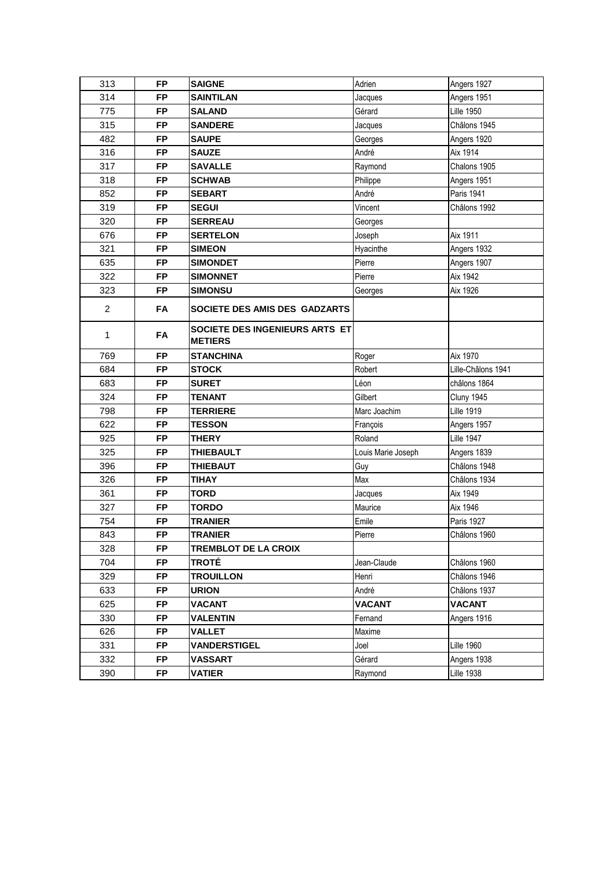| 313            | <b>FP</b> | <b>SAIGNE</b>                                           | Adrien             | Angers 1927        |
|----------------|-----------|---------------------------------------------------------|--------------------|--------------------|
| 314            | <b>FP</b> | <b>SAINTILAN</b>                                        | Jacques            | Angers 1951        |
| 775            | <b>FP</b> | <b>SALAND</b>                                           | Gérard             | <b>Lille 1950</b>  |
| 315            | <b>FP</b> | <b>SANDERE</b>                                          | Jacques            | Châlons 1945       |
| 482            | <b>FP</b> | <b>SAUPE</b>                                            | Georges            | Angers 1920        |
| 316            | <b>FP</b> | <b>SAUZE</b>                                            | André              | Aix 1914           |
| 317            | <b>FP</b> | <b>SAVALLE</b>                                          | Raymond            | Chalons 1905       |
| 318            | <b>FP</b> | <b>SCHWAB</b>                                           | Philippe           | Angers 1951        |
| 852            | <b>FP</b> | <b>SEBART</b>                                           | André              | Paris 1941         |
| 319            | <b>FP</b> | <b>SEGUI</b>                                            | Vincent            | Châlons 1992       |
| 320            | <b>FP</b> | <b>SERREAU</b>                                          | Georges            |                    |
| 676            | <b>FP</b> | <b>SERTELON</b>                                         | Joseph             | Aix 1911           |
| 321            | <b>FP</b> | <b>SIMEON</b>                                           | Hyacinthe          | Angers 1932        |
| 635            | <b>FP</b> | <b>SIMONDET</b>                                         | Pierre             | Angers 1907        |
| 322            | <b>FP</b> | <b>SIMONNET</b>                                         | Pierre             | Aix 1942           |
| 323            | <b>FP</b> | <b>SIMONSU</b>                                          | Georges            | Aix 1926           |
| $\overline{2}$ | <b>FA</b> | SOCIETE DES AMIS DES GADZARTS                           |                    |                    |
| 1              | FA        | <b>SOCIETE DES INGENIEURS ARTS ET</b><br><b>METIERS</b> |                    |                    |
| 769            | <b>FP</b> | <b>STANCHINA</b>                                        | Roger              | Aix 1970           |
| 684            | <b>FP</b> | <b>STOCK</b>                                            | Robert             | Lille-Châlons 1941 |
| 683            | <b>FP</b> | <b>SURET</b>                                            | Léon               | châlons 1864       |
| 324            | <b>FP</b> | <b>TENANT</b>                                           | Gilbert            | Cluny 1945         |
| 798            | <b>FP</b> | <b>TERRIERE</b>                                         | Marc Joachim       | <b>Lille 1919</b>  |
| 622            | <b>FP</b> | <b>TESSON</b>                                           | François           | Angers 1957        |
| 925            | <b>FP</b> | <b>THERY</b>                                            | Roland             | <b>Lille 1947</b>  |
| 325            | <b>FP</b> | <b>THIEBAULT</b>                                        | Louis Marie Joseph | Angers 1839        |
| 396            | <b>FP</b> | <b>THIEBAUT</b>                                         | Guy                | Châlons 1948       |
| 326            | <b>FP</b> | <b>TIHAY</b>                                            | Max                | Châlons 1934       |
| 361            | <b>FP</b> | <b>TORD</b>                                             | Jacques            | Aix 1949           |
| 327            | <b>FP</b> | <b>TORDO</b>                                            | Maurice            | Aix 1946           |
| 754            | <b>FP</b> | <b>TRANIER</b>                                          | Emile              | <b>Paris 1927</b>  |
| 843            | <b>FP</b> | <b>TRANIER</b>                                          | Pierre             | Châlons 1960       |
| 328            | <b>FP</b> | <b>TREMBLOT DE LA CROIX</b>                             |                    |                    |
| 704            | <b>FP</b> | TROTÉ                                                   | Jean-Claude        | Châlons 1960       |
| 329            | <b>FP</b> | <b>TROUILLON</b>                                        | Henri              | Châlons 1946       |
| 633            | <b>FP</b> | <b>URION</b>                                            | André              | Châlons 1937       |
| 625            | <b>FP</b> | <b>VACANT</b>                                           | <b>VACANT</b>      | <b>VACANT</b>      |
| 330            | <b>FP</b> | <b>VALENTIN</b>                                         | Fernand            | Angers 1916        |
| 626            | <b>FP</b> | <b>VALLET</b>                                           | Maxime             |                    |
| 331            | <b>FP</b> | <b>VANDERSTIGEL</b>                                     | Joel               | <b>Lille 1960</b>  |
| 332            | <b>FP</b> | VASSART                                                 | Gérard             | Angers 1938        |
| 390            | <b>FP</b> | VATIER                                                  | Raymond            | <b>Lille 1938</b>  |